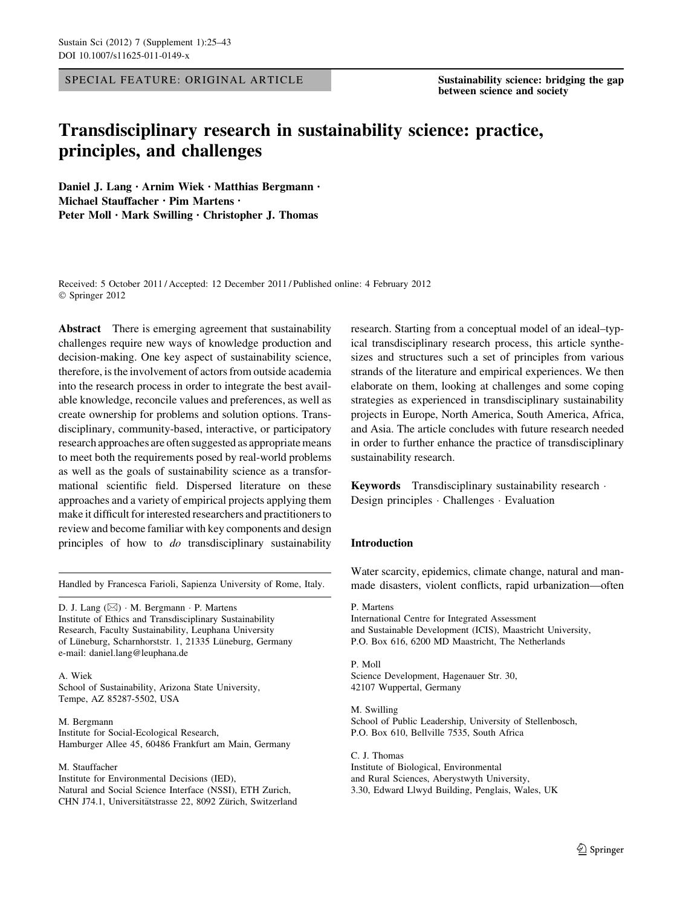SPECIAL FEATURE: ORIGINAL ARTICLE Sustainability science: bridging the gap

between science and society

# Transdisciplinary research in sustainability science: practice, principles, and challenges

Daniel J. Lang • Arnim Wiek • Matthias Bergmann • Michael Stauffacher • Pim Martens • Peter Moll • Mark Swilling • Christopher J. Thomas

Received: 5 October 2011 / Accepted: 12 December 2011 / Published online: 4 February 2012 © Springer 2012

Abstract There is emerging agreement that sustainability challenges require new ways of knowledge production and decision-making. One key aspect of sustainability science, therefore, is the involvement of actors from outside academia into the research process in order to integrate the best available knowledge, reconcile values and preferences, as well as create ownership for problems and solution options. Transdisciplinary, community-based, interactive, or participatory research approaches are often suggested as appropriate means to meet both the requirements posed by real-world problems as well as the goals of sustainability science as a transformational scientific field. Dispersed literature on these approaches and a variety of empirical projects applying them make it difficult for interested researchers and practitioners to review and become familiar with key components and design principles of how to *do* transdisciplinary sustainability

D. J. Lang (⊠) · M. Bergmann · P. Martens Institute of Ethics and Transdisciplinary Sustainability Research, Faculty Sustainability, Leuphana University of Lüneburg, Scharnhorststr. 1, 21335 Lüneburg, Germany e-mail: daniel.lang@leuphana.de

A. Wiek School of Sustainability, Arizona State University, Tempe, AZ 85287-5502, USA

M. Bergmann Institute for Social-Ecological Research, Hamburger Allee 45, 60486 Frankfurt am Main, Germany

#### M. Stauffacher

Institute for Environmental Decisions (IED), Natural and Social Science Interface (NSSI), ETH Zurich, CHN J74.1, Universitätstrasse 22, 8092 Zürich, Switzerland research. Starting from a conceptual model of an ideal–typical transdisciplinary research process, this article synthesizes and structures such a set of principles from various strands of the literature and empirical experiences. We then elaborate on them, looking at challenges and some coping strategies as experienced in transdisciplinary sustainability projects in Europe, North America, South America, Africa, and Asia. The article concludes with future research needed in order to further enhance the practice of transdisciplinary sustainability research.

Keywords Transdisciplinary sustainability research - Design principles - Challenges - Evaluation

### Introduction

Water scarcity, epidemics, climate change, natural and man-Handled by Francesca Farioli, Sapienza University of Rome, Italy. made disasters, violent conflicts, rapid urbanization—often

> P. Martens International Centre for Integrated Assessment and Sustainable Development (ICIS), Maastricht University, P.O. Box 616, 6200 MD Maastricht, The Netherlands

P. Moll Science Development, Hagenauer Str. 30, 42107 Wuppertal, Germany

M. Swilling School of Public Leadership, University of Stellenbosch, P.O. Box 610, Bellville 7535, South Africa

C. J. Thomas Institute of Biological, Environmental and Rural Sciences, Aberystwyth University, 3.30, Edward Llwyd Building, Penglais, Wales, UK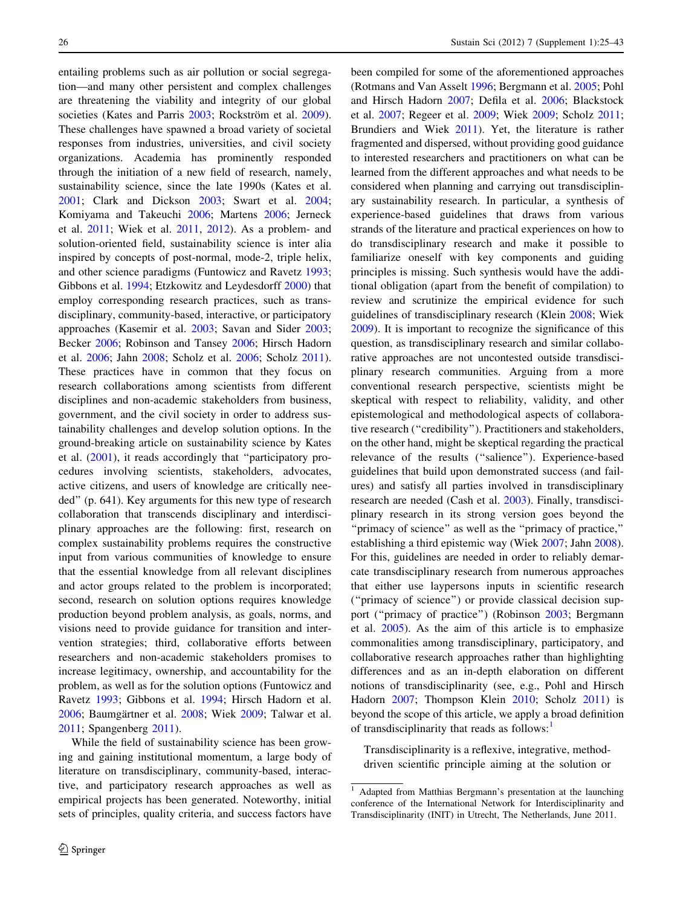entailing problems such as air pollution or social segregation—and many other persistent and complex challenges are threatening the viability and integrity of our global societies (Kates and Parris [2003](#page-16-0); Rockström et al. [2009](#page-17-0)). These challenges have spawned a broad variety of societal responses from industries, universities, and civil society organizations. Academia has prominently responded through the initiation of a new field of research, namely, sustainability science, since the late 1990s (Kates et al. [2001;](#page-16-0) Clark and Dickson [2003](#page-16-0); Swart et al. [2004](#page-17-0); Komiyama and Takeuchi [2006;](#page-16-0) Martens [2006](#page-17-0); Jerneck et al. [2011](#page-16-0); Wiek et al. [2011,](#page-18-0) [2012](#page-18-0)). As a problem- and solution-oriented field, sustainability science is inter alia inspired by concepts of post-normal, mode-2, triple helix, and other science paradigms (Funtowicz and Ravetz [1993](#page-16-0); Gibbons et al. [1994](#page-16-0); Etzkowitz and Leydesdorff [2000\)](#page-16-0) that employ corresponding research practices, such as transdisciplinary, community-based, interactive, or participatory approaches (Kasemir et al. [2003;](#page-16-0) Savan and Sider [2003](#page-17-0); Becker [2006](#page-16-0); Robinson and Tansey [2006](#page-17-0); Hirsch Hadorn et al. [2006](#page-16-0); Jahn [2008;](#page-16-0) Scholz et al. [2006;](#page-17-0) Scholz [2011](#page-17-0)). These practices have in common that they focus on research collaborations among scientists from different disciplines and non-academic stakeholders from business, government, and the civil society in order to address sustainability challenges and develop solution options. In the ground-breaking article on sustainability science by Kates et al. ([2001\)](#page-16-0), it reads accordingly that ''participatory procedures involving scientists, stakeholders, advocates, active citizens, and users of knowledge are critically needed'' (p. 641). Key arguments for this new type of research collaboration that transcends disciplinary and interdisciplinary approaches are the following: first, research on complex sustainability problems requires the constructive input from various communities of knowledge to ensure that the essential knowledge from all relevant disciplines and actor groups related to the problem is incorporated; second, research on solution options requires knowledge production beyond problem analysis, as goals, norms, and visions need to provide guidance for transition and intervention strategies; third, collaborative efforts between researchers and non-academic stakeholders promises to increase legitimacy, ownership, and accountability for the problem, as well as for the solution options (Funtowicz and Ravetz [1993](#page-16-0); Gibbons et al. [1994;](#page-16-0) Hirsch Hadorn et al. [2006;](#page-16-0) Baumgärtner et al. [2008;](#page-15-0) Wiek [2009;](#page-18-0) Talwar et al. [2011;](#page-17-0) Spangenberg [2011\)](#page-17-0).

While the field of sustainability science has been growing and gaining institutional momentum, a large body of literature on transdisciplinary, community-based, interactive, and participatory research approaches as well as empirical projects has been generated. Noteworthy, initial sets of principles, quality criteria, and success factors have been compiled for some of the aforementioned approaches (Rotmans and Van Asselt [1996](#page-17-0); Bergmann et al. [2005;](#page-16-0) Pohl and Hirsch Hadorn [2007](#page-17-0); Defila et al. [2006](#page-16-0); Blackstock et al. [2007](#page-16-0); Regeer et al. [2009;](#page-17-0) Wiek [2009](#page-18-0); Scholz [2011](#page-17-0); Brundiers and Wiek [2011](#page-16-0)). Yet, the literature is rather fragmented and dispersed, without providing good guidance to interested researchers and practitioners on what can be learned from the different approaches and what needs to be considered when planning and carrying out transdisciplinary sustainability research. In particular, a synthesis of experience-based guidelines that draws from various strands of the literature and practical experiences on how to do transdisciplinary research and make it possible to familiarize oneself with key components and guiding principles is missing. Such synthesis would have the additional obligation (apart from the benefit of compilation) to review and scrutinize the empirical evidence for such guidelines of transdisciplinary research (Klein [2008;](#page-16-0) Wiek [2009](#page-18-0)). It is important to recognize the significance of this question, as transdisciplinary research and similar collaborative approaches are not uncontested outside transdisciplinary research communities. Arguing from a more conventional research perspective, scientists might be skeptical with respect to reliability, validity, and other epistemological and methodological aspects of collaborative research (''credibility''). Practitioners and stakeholders, on the other hand, might be skeptical regarding the practical relevance of the results (''salience''). Experience-based guidelines that build upon demonstrated success (and failures) and satisfy all parties involved in transdisciplinary research are needed (Cash et al. [2003](#page-16-0)). Finally, transdisciplinary research in its strong version goes beyond the ''primacy of science'' as well as the ''primacy of practice,'' establishing a third epistemic way (Wiek [2007](#page-18-0); Jahn [2008](#page-16-0)). For this, guidelines are needed in order to reliably demarcate transdisciplinary research from numerous approaches that either use laypersons inputs in scientific research (''primacy of science'') or provide classical decision support (''primacy of practice'') (Robinson [2003;](#page-17-0) Bergmann et al. [2005\)](#page-16-0). As the aim of this article is to emphasize commonalities among transdisciplinary, participatory, and collaborative research approaches rather than highlighting differences and as an in-depth elaboration on different notions of transdisciplinarity (see, e.g., Pohl and Hirsch Hadorn [2007;](#page-17-0) Thompson Klein [2010;](#page-17-0) Scholz [2011](#page-17-0)) is beyond the scope of this article, we apply a broad definition of transdisciplinarity that reads as follows:

Transdisciplinarity is a reflexive, integrative, methoddriven scientific principle aiming at the solution or

<sup>&</sup>lt;sup>1</sup> Adapted from Matthias Bergmann's presentation at the launching conference of the International Network for Interdisciplinarity and Transdisciplinarity (INIT) in Utrecht, The Netherlands, June 2011.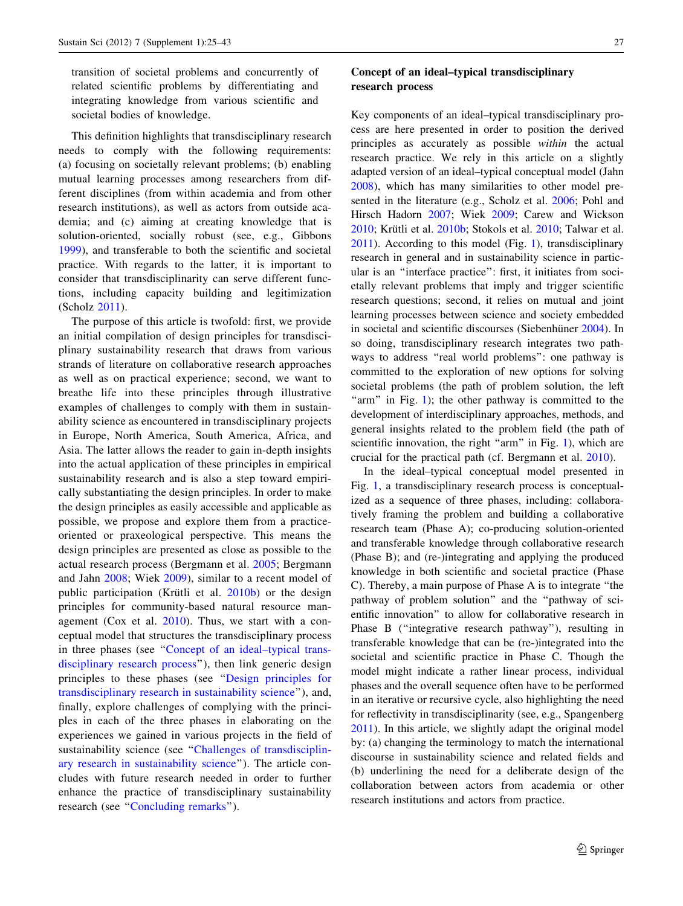transition of societal problems and concurrently of related scientific problems by differentiating and integrating knowledge from various scientific and societal bodies of knowledge.

This definition highlights that transdisciplinary research needs to comply with the following requirements: (a) focusing on societally relevant problems; (b) enabling mutual learning processes among researchers from different disciplines (from within academia and from other research institutions), as well as actors from outside academia; and (c) aiming at creating knowledge that is solution-oriented, socially robust (see, e.g., Gibbons [1999](#page-16-0)), and transferable to both the scientific and societal practice. With regards to the latter, it is important to consider that transdisciplinarity can serve different functions, including capacity building and legitimization (Scholz [2011](#page-17-0)).

The purpose of this article is twofold: first, we provide an initial compilation of design principles for transdisciplinary sustainability research that draws from various strands of literature on collaborative research approaches as well as on practical experience; second, we want to breathe life into these principles through illustrative examples of challenges to comply with them in sustainability science as encountered in transdisciplinary projects in Europe, North America, South America, Africa, and Asia. The latter allows the reader to gain in-depth insights into the actual application of these principles in empirical sustainability research and is also a step toward empirically substantiating the design principles. In order to make the design principles as easily accessible and applicable as possible, we propose and explore them from a practiceoriented or praxeological perspective. This means the design principles are presented as close as possible to the actual research process (Bergmann et al. [2005](#page-16-0); Bergmann and Jahn [2008](#page-16-0); Wiek [2009](#page-18-0)), similar to a recent model of public participation (Krütli et al. [2010b](#page-16-0)) or the design principles for community-based natural resource management (Cox et al. [2010](#page-16-0)). Thus, we start with a conceptual model that structures the transdisciplinary process in three phases (see ''Concept of an ideal–typical transdisciplinary research process''), then link generic design principles to these phases (see '['Design principles for](#page-4-0) [transdisciplinary research in sustainability science](#page-4-0)''), and, finally, explore challenges of complying with the principles in each of the three phases in elaborating on the experiences we gained in various projects in the field of sustainability science (see "Challenges of transdisciplin[ary research in sustainability science](#page-10-0)''). The article concludes with future research needed in order to further enhance the practice of transdisciplinary sustainability research (see "[Concluding remarks](#page-14-0)").

# Concept of an ideal–typical transdisciplinary research process

Key components of an ideal–typical transdisciplinary process are here presented in order to position the derived principles as accurately as possible within the actual research practice. We rely in this article on a slightly adapted version of an ideal–typical conceptual model (Jahn [2008](#page-16-0)), which has many similarities to other model presented in the literature (e.g., Scholz et al. [2006](#page-17-0); Pohl and Hirsch Hadorn [2007;](#page-17-0) Wiek [2009;](#page-18-0) Carew and Wickson  $2010$ ; Krütli et al.  $2010b$ ; Stokols et al.  $2010$ ; Talwar et al. [2011](#page-17-0)). According to this model (Fig. [1\)](#page-3-0), transdisciplinary research in general and in sustainability science in particular is an ''interface practice'': first, it initiates from societally relevant problems that imply and trigger scientific research questions; second, it relies on mutual and joint learning processes between science and society embedded in societal and scientific discourses (Siebenhüner [2004](#page-17-0)). In so doing, transdisciplinary research integrates two pathways to address "real world problems": one pathway is committed to the exploration of new options for solving societal problems (the path of problem solution, the left "arm" in Fig. [1\)](#page-3-0); the other pathway is committed to the development of interdisciplinary approaches, methods, and general insights related to the problem field (the path of scientific innovation, the right "arm" in Fig. [1\)](#page-3-0), which are crucial for the practical path (cf. Bergmann et al. [2010](#page-16-0)).

In the ideal–typical conceptual model presented in Fig. [1](#page-3-0), a transdisciplinary research process is conceptualized as a sequence of three phases, including: collaboratively framing the problem and building a collaborative research team (Phase A); co-producing solution-oriented and transferable knowledge through collaborative research (Phase B); and (re-)integrating and applying the produced knowledge in both scientific and societal practice (Phase C). Thereby, a main purpose of Phase A is to integrate ''the pathway of problem solution'' and the ''pathway of scientific innovation'' to allow for collaborative research in Phase B (''integrative research pathway''), resulting in transferable knowledge that can be (re-)integrated into the societal and scientific practice in Phase C. Though the model might indicate a rather linear process, individual phases and the overall sequence often have to be performed in an iterative or recursive cycle, also highlighting the need for reflectivity in transdisciplinarity (see, e.g., Spangenberg [2011](#page-17-0)). In this article, we slightly adapt the original model by: (a) changing the terminology to match the international discourse in sustainability science and related fields and (b) underlining the need for a deliberate design of the collaboration between actors from academia or other research institutions and actors from practice.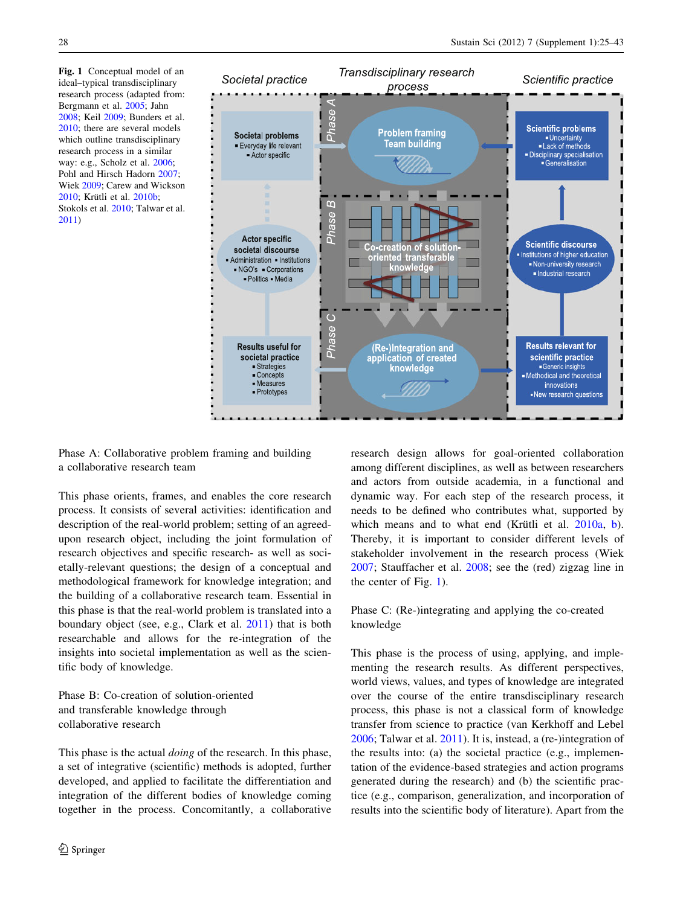<span id="page-3-0"></span>Fig. 1 Conceptual model of an ideal–typical transdisciplinary research process (adapted from: Bergmann et al. [2005](#page-16-0); Jahn [2008;](#page-16-0) Keil [2009;](#page-16-0) Bunders et al. [2010;](#page-16-0) there are several models which outline transdisciplinary research process in a similar way: e.g., Scholz et al. [2006;](#page-17-0) Pohl and Hirsch Hadorn [2007](#page-17-0); Wiek [2009](#page-18-0); Carew and Wickson 2010: Krütli et al. [2010b;](#page-16-0) Stokols et al. [2010](#page-17-0); Talwar et al. [2011\)](#page-17-0)



Phase A: Collaborative problem framing and building a collaborative research team

This phase orients, frames, and enables the core research process. It consists of several activities: identification and description of the real-world problem; setting of an agreedupon research object, including the joint formulation of research objectives and specific research- as well as societally-relevant questions; the design of a conceptual and methodological framework for knowledge integration; and the building of a collaborative research team. Essential in this phase is that the real-world problem is translated into a boundary object (see, e.g., Clark et al. [2011\)](#page-16-0) that is both researchable and allows for the re-integration of the insights into societal implementation as well as the scientific body of knowledge.

Phase B: Co-creation of solution-oriented and transferable knowledge through collaborative research

This phase is the actual *doing* of the research. In this phase, a set of integrative (scientific) methods is adopted, further developed, and applied to facilitate the differentiation and integration of the different bodies of knowledge coming together in the process. Concomitantly, a collaborative research design allows for goal-oriented collaboration among different disciplines, as well as between researchers and actors from outside academia, in a functional and dynamic way. For each step of the research process, it needs to be defined who contributes what, supported by which means and to what end (Krütli et al.  $2010a$ , [b](#page-16-0)). Thereby, it is important to consider different levels of stakeholder involvement in the research process (Wiek [2007](#page-18-0); Stauffacher et al. [2008](#page-17-0); see the (red) zigzag line in the center of Fig. 1).

Phase C: (Re-)integrating and applying the co-created knowledge

This phase is the process of using, applying, and implementing the research results. As different perspectives, world views, values, and types of knowledge are integrated over the course of the entire transdisciplinary research process, this phase is not a classical form of knowledge transfer from science to practice (van Kerkhoff and Lebel [2006](#page-17-0); Talwar et al. [2011\)](#page-17-0). It is, instead, a (re-)integration of the results into: (a) the societal practice (e.g., implementation of the evidence-based strategies and action programs generated during the research) and (b) the scientific practice (e.g., comparison, generalization, and incorporation of results into the scientific body of literature). Apart from the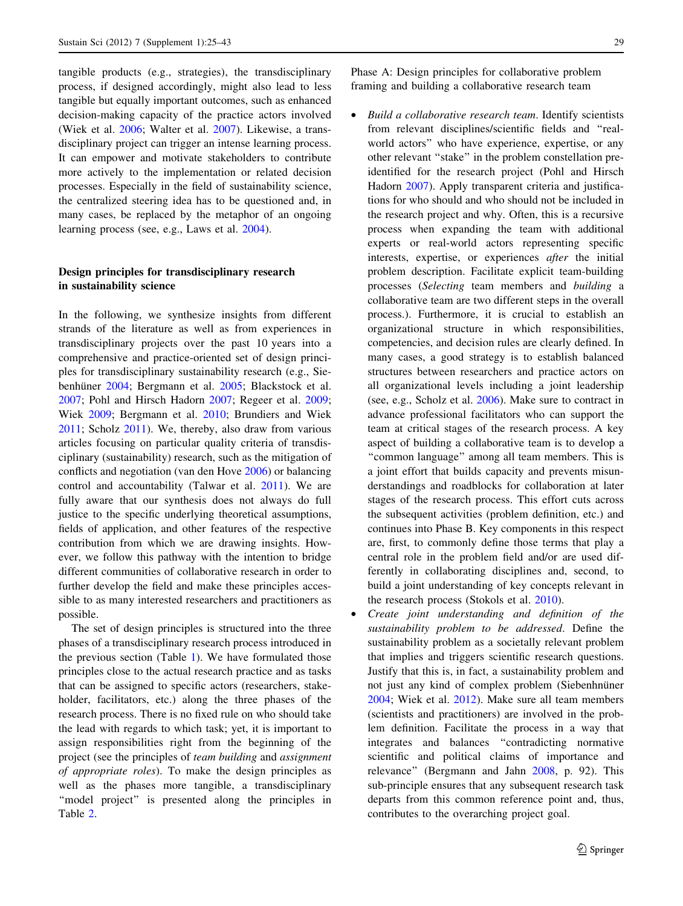<span id="page-4-0"></span>tangible products (e.g., strategies), the transdisciplinary process, if designed accordingly, might also lead to less tangible but equally important outcomes, such as enhanced decision-making capacity of the practice actors involved (Wiek et al. [2006](#page-18-0); Walter et al. [2007\)](#page-17-0). Likewise, a transdisciplinary project can trigger an intense learning process. It can empower and motivate stakeholders to contribute more actively to the implementation or related decision processes. Especially in the field of sustainability science, the centralized steering idea has to be questioned and, in many cases, be replaced by the metaphor of an ongoing learning process (see, e.g., Laws et al. [2004](#page-17-0)).

# Design principles for transdisciplinary research in sustainability science

In the following, we synthesize insights from different strands of the literature as well as from experiences in transdisciplinary projects over the past 10 years into a comprehensive and practice-oriented set of design principles for transdisciplinary sustainability research (e.g., Sie-benhüner [2004;](#page-17-0) Bergmann et al. [2005;](#page-16-0) Blackstock et al. [2007;](#page-16-0) Pohl and Hirsch Hadorn [2007;](#page-17-0) Regeer et al. [2009](#page-17-0); Wiek [2009](#page-18-0); Bergmann et al. [2010](#page-16-0); Brundiers and Wiek [2011;](#page-16-0) Scholz [2011](#page-17-0)). We, thereby, also draw from various articles focusing on particular quality criteria of transdisciplinary (sustainability) research, such as the mitigation of conflicts and negotiation (van den Hove [2006](#page-17-0)) or balancing control and accountability (Talwar et al. [2011\)](#page-17-0). We are fully aware that our synthesis does not always do full justice to the specific underlying theoretical assumptions, fields of application, and other features of the respective contribution from which we are drawing insights. However, we follow this pathway with the intention to bridge different communities of collaborative research in order to further develop the field and make these principles accessible to as many interested researchers and practitioners as possible.

The set of design principles is structured into the three phases of a transdisciplinary research process introduced in the previous section (Table [1](#page-5-0)). We have formulated those principles close to the actual research practice and as tasks that can be assigned to specific actors (researchers, stakeholder, facilitators, etc.) along the three phases of the research process. There is no fixed rule on who should take the lead with regards to which task; yet, it is important to assign responsibilities right from the beginning of the project (see the principles of team building and assignment of appropriate roles). To make the design principles as well as the phases more tangible, a transdisciplinary "model project" is presented along the principles in Table [2](#page-6-0).

Phase A: Design principles for collaborative problem framing and building a collaborative research team

- Build a collaborative research team. Identify scientists from relevant disciplines/scientific fields and ''realworld actors'' who have experience, expertise, or any other relevant ''stake'' in the problem constellation preidentified for the research project (Pohl and Hirsch Hadorn [2007](#page-17-0)). Apply transparent criteria and justifications for who should and who should not be included in the research project and why. Often, this is a recursive process when expanding the team with additional experts or real-world actors representing specific interests, expertise, or experiences after the initial problem description. Facilitate explicit team-building processes (Selecting team members and building a collaborative team are two different steps in the overall process.). Furthermore, it is crucial to establish an organizational structure in which responsibilities, competencies, and decision rules are clearly defined. In many cases, a good strategy is to establish balanced structures between researchers and practice actors on all organizational levels including a joint leadership (see, e.g., Scholz et al. [2006\)](#page-17-0). Make sure to contract in advance professional facilitators who can support the team at critical stages of the research process. A key aspect of building a collaborative team is to develop a ''common language'' among all team members. This is a joint effort that builds capacity and prevents misunderstandings and roadblocks for collaboration at later stages of the research process. This effort cuts across the subsequent activities (problem definition, etc.) and continues into Phase B. Key components in this respect are, first, to commonly define those terms that play a central role in the problem field and/or are used differently in collaborating disciplines and, second, to build a joint understanding of key concepts relevant in the research process (Stokols et al. [2010](#page-17-0)).
- Create joint understanding and definition of the sustainability problem to be addressed. Define the sustainability problem as a societally relevant problem that implies and triggers scientific research questions. Justify that this is, in fact, a sustainability problem and not just any kind of complex problem (Siebenhnüner [2004;](#page-17-0) Wiek et al. [2012\)](#page-18-0). Make sure all team members (scientists and practitioners) are involved in the problem definition. Facilitate the process in a way that integrates and balances ''contradicting normative scientific and political claims of importance and relevance'' (Bergmann and Jahn [2008](#page-16-0), p. 92). This sub-principle ensures that any subsequent research task departs from this common reference point and, thus, contributes to the overarching project goal.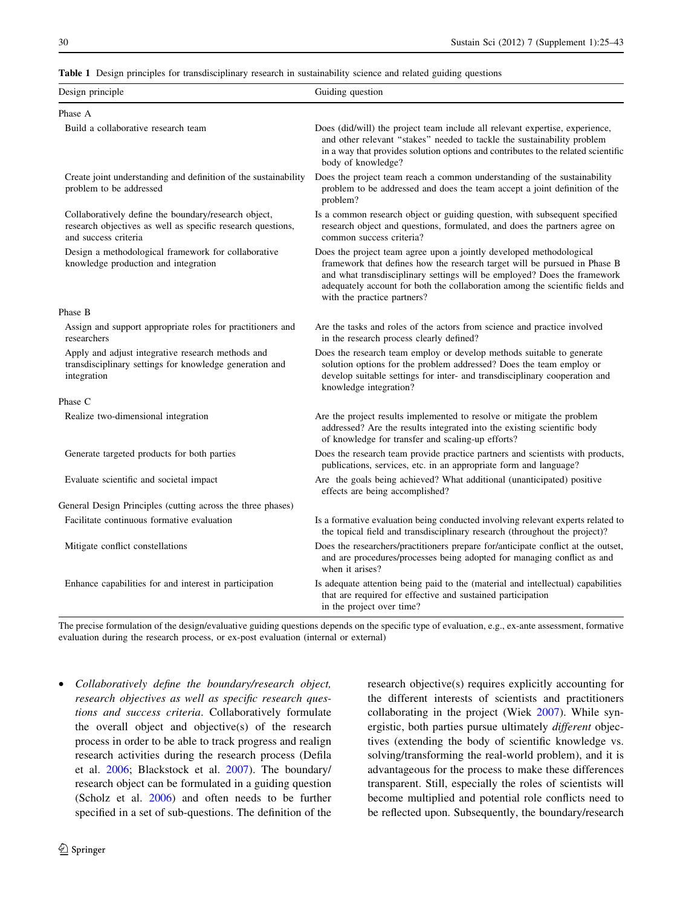<span id="page-5-0"></span>

|  |  |  | Table 1 Design principles for transdisciplinary research in sustainability science and related guiding questions |  |
|--|--|--|------------------------------------------------------------------------------------------------------------------|--|
|--|--|--|------------------------------------------------------------------------------------------------------------------|--|

| Design principle                                                                                                                            | Guiding question                                                                                                                                                                                                                                                                                                                             |
|---------------------------------------------------------------------------------------------------------------------------------------------|----------------------------------------------------------------------------------------------------------------------------------------------------------------------------------------------------------------------------------------------------------------------------------------------------------------------------------------------|
| Phase A                                                                                                                                     |                                                                                                                                                                                                                                                                                                                                              |
| Build a collaborative research team                                                                                                         | Does (did/will) the project team include all relevant expertise, experience,<br>and other relevant "stakes" needed to tackle the sustainability problem<br>in a way that provides solution options and contributes to the related scientific<br>body of knowledge?                                                                           |
| Create joint understanding and definition of the sustainability<br>problem to be addressed                                                  | Does the project team reach a common understanding of the sustainability<br>problem to be addressed and does the team accept a joint definition of the<br>problem?                                                                                                                                                                           |
| Collaboratively define the boundary/research object,<br>research objectives as well as specific research questions,<br>and success criteria | Is a common research object or guiding question, with subsequent specified<br>research object and questions, formulated, and does the partners agree on<br>common success criteria?                                                                                                                                                          |
| Design a methodological framework for collaborative<br>knowledge production and integration                                                 | Does the project team agree upon a jointly developed methodological<br>framework that defines how the research target will be pursued in Phase B<br>and what transdisciplinary settings will be employed? Does the framework<br>adequately account for both the collaboration among the scientific fields and<br>with the practice partners? |
| Phase B                                                                                                                                     |                                                                                                                                                                                                                                                                                                                                              |
| Assign and support appropriate roles for practitioners and<br>researchers                                                                   | Are the tasks and roles of the actors from science and practice involved<br>in the research process clearly defined?                                                                                                                                                                                                                         |
| Apply and adjust integrative research methods and<br>transdisciplinary settings for knowledge generation and<br>integration                 | Does the research team employ or develop methods suitable to generate<br>solution options for the problem addressed? Does the team employ or<br>develop suitable settings for inter- and transdisciplinary cooperation and                                                                                                                   |
| Phase C                                                                                                                                     |                                                                                                                                                                                                                                                                                                                                              |
| Realize two-dimensional integration                                                                                                         | Are the project results implemented to resolve or mitigate the problem<br>addressed? Are the results integrated into the existing scientific body<br>of knowledge for transfer and scaling-up efforts?                                                                                                                                       |
| Generate targeted products for both parties                                                                                                 | Does the research team provide practice partners and scientists with products,<br>publications, services, etc. in an appropriate form and language?                                                                                                                                                                                          |
| Evaluate scientific and societal impact                                                                                                     | Are the goals being achieved? What additional (unanticipated) positive<br>effects are being accomplished?                                                                                                                                                                                                                                    |
| General Design Principles (cutting across the three phases)                                                                                 |                                                                                                                                                                                                                                                                                                                                              |
| Facilitate continuous formative evaluation                                                                                                  | Is a formative evaluation being conducted involving relevant experts related to<br>the topical field and transdisciplinary research (throughout the project)?                                                                                                                                                                                |
| Mitigate conflict constellations                                                                                                            | Does the researchers/practitioners prepare for/anticipate conflict at the outset,<br>and are procedures/processes being adopted for managing conflict as and<br>when it arises?                                                                                                                                                              |
| Enhance capabilities for and interest in participation                                                                                      | Is adequate attention being paid to the (material and intellectual) capabilities<br>that are required for effective and sustained participation<br>in the project over time?                                                                                                                                                                 |
|                                                                                                                                             | knowledge integration?                                                                                                                                                                                                                                                                                                                       |

The precise formulation of the design/evaluative guiding questions depends on the specific type of evaluation, e.g., ex-ante assessment, formative evaluation during the research process, or ex-post evaluation (internal or external)

• Collaboratively define the boundary/research object, research objectives as well as specific research questions and success criteria. Collaboratively formulate the overall object and objective(s) of the research process in order to be able to track progress and realign research activities during the research process (Defila et al. [2006;](#page-16-0) Blackstock et al. [2007](#page-16-0)). The boundary/ research object can be formulated in a guiding question (Scholz et al. [2006\)](#page-17-0) and often needs to be further specified in a set of sub-questions. The definition of the research objective(s) requires explicitly accounting for the different interests of scientists and practitioners collaborating in the project (Wiek [2007](#page-18-0)). While synergistic, both parties pursue ultimately different objectives (extending the body of scientific knowledge vs. solving/transforming the real-world problem), and it is advantageous for the process to make these differences transparent. Still, especially the roles of scientists will become multiplied and potential role conflicts need to be reflected upon. Subsequently, the boundary/research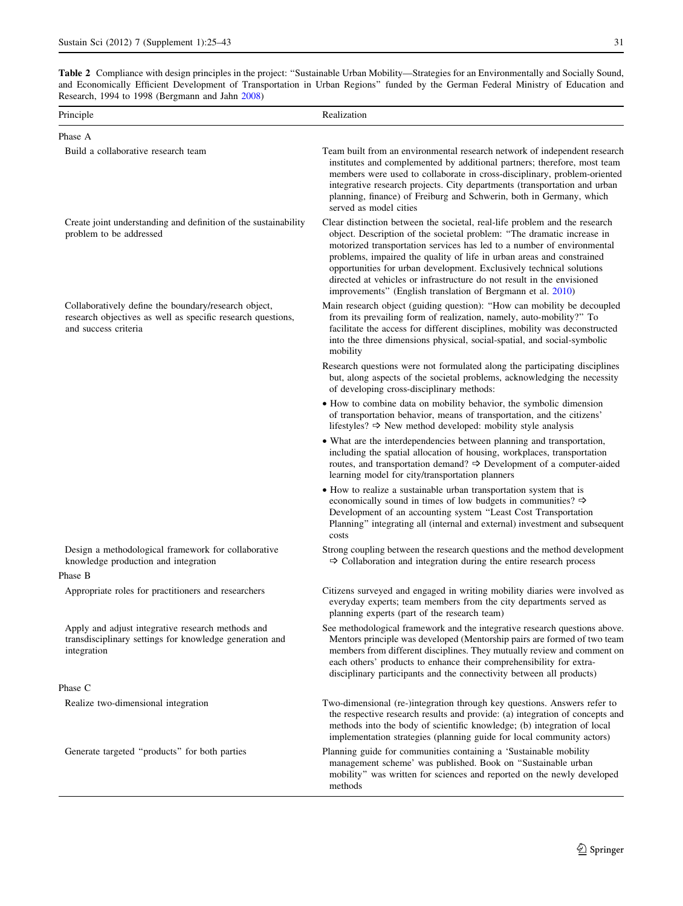<span id="page-6-0"></span>Table 2 Compliance with design principles in the project: ''Sustainable Urban Mobility—Strategies for an Environmentally and Socially Sound, and Economically Efficient Development of Transportation in Urban Regions'' funded by the German Federal Ministry of Education and Research, 1994 to 1998 (Bergmann and Jahn [2008](#page-16-0))

| Principle                                                                                                                                   | Realization                                                                                                                                                                                                                                                                                                                                                                                                                                                                                                              |
|---------------------------------------------------------------------------------------------------------------------------------------------|--------------------------------------------------------------------------------------------------------------------------------------------------------------------------------------------------------------------------------------------------------------------------------------------------------------------------------------------------------------------------------------------------------------------------------------------------------------------------------------------------------------------------|
| Phase A                                                                                                                                     |                                                                                                                                                                                                                                                                                                                                                                                                                                                                                                                          |
| Build a collaborative research team                                                                                                         | Team built from an environmental research network of independent research<br>institutes and complemented by additional partners; therefore, most team<br>members were used to collaborate in cross-disciplinary, problem-oriented<br>integrative research projects. City departments (transportation and urban<br>planning, finance) of Freiburg and Schwerin, both in Germany, which<br>served as model cities                                                                                                          |
| Create joint understanding and definition of the sustainability<br>problem to be addressed                                                  | Clear distinction between the societal, real-life problem and the research<br>object. Description of the societal problem: "The dramatic increase in<br>motorized transportation services has led to a number of environmental<br>problems, impaired the quality of life in urban areas and constrained<br>opportunities for urban development. Exclusively technical solutions<br>directed at vehicles or infrastructure do not result in the envisioned<br>improvements" (English translation of Bergmann et al. 2010) |
| Collaboratively define the boundary/research object,<br>research objectives as well as specific research questions,<br>and success criteria | Main research object (guiding question): "How can mobility be decoupled<br>from its prevailing form of realization, namely, auto-mobility?" To<br>facilitate the access for different disciplines, mobility was deconstructed<br>into the three dimensions physical, social-spatial, and social-symbolic<br>mobility                                                                                                                                                                                                     |
|                                                                                                                                             | Research questions were not formulated along the participating disciplines<br>but, along aspects of the societal problems, acknowledging the necessity<br>of developing cross-disciplinary methods:                                                                                                                                                                                                                                                                                                                      |
|                                                                                                                                             | • How to combine data on mobility behavior, the symbolic dimension<br>of transportation behavior, means of transportation, and the citizens'<br>lifestyles? $\Rightarrow$ New method developed: mobility style analysis                                                                                                                                                                                                                                                                                                  |
|                                                                                                                                             | • What are the interdependencies between planning and transportation,<br>including the spatial allocation of housing, workplaces, transportation<br>routes, and transportation demand? $\Rightarrow$ Development of a computer-aided<br>learning model for city/transportation planners                                                                                                                                                                                                                                  |
|                                                                                                                                             | • How to realize a sustainable urban transportation system that is<br>economically sound in times of low budgets in communities? $\Rightarrow$<br>Development of an accounting system "Least Cost Transportation<br>Planning" integrating all (internal and external) investment and subsequent<br>costs                                                                                                                                                                                                                 |
| Design a methodological framework for collaborative<br>knowledge production and integration                                                 | Strong coupling between the research questions and the method development<br>$\Rightarrow$ Collaboration and integration during the entire research process                                                                                                                                                                                                                                                                                                                                                              |
| Phase B<br>Appropriate roles for practitioners and researchers                                                                              | Citizens surveyed and engaged in writing mobility diaries were involved as<br>everyday experts; team members from the city departments served as<br>planning experts (part of the research team)                                                                                                                                                                                                                                                                                                                         |
| Apply and adjust integrative research methods and<br>transdisciplinary settings for knowledge generation and<br>integration                 | See methodological framework and the integrative research questions above.<br>Mentors principle was developed (Mentorship pairs are formed of two team<br>members from different disciplines. They mutually review and comment on<br>each others' products to enhance their comprehensibility for extra-<br>disciplinary participants and the connectivity between all products)                                                                                                                                         |
| Phase C                                                                                                                                     |                                                                                                                                                                                                                                                                                                                                                                                                                                                                                                                          |
| Realize two-dimensional integration                                                                                                         | Two-dimensional (re-)integration through key questions. Answers refer to<br>the respective research results and provide: (a) integration of concepts and<br>methods into the body of scientific knowledge; (b) integration of local<br>implementation strategies (planning guide for local community actors)                                                                                                                                                                                                             |
| Generate targeted "products" for both parties                                                                                               | Planning guide for communities containing a 'Sustainable mobility<br>management scheme' was published. Book on "Sustainable urban<br>mobility" was written for sciences and reported on the newly developed<br>methods                                                                                                                                                                                                                                                                                                   |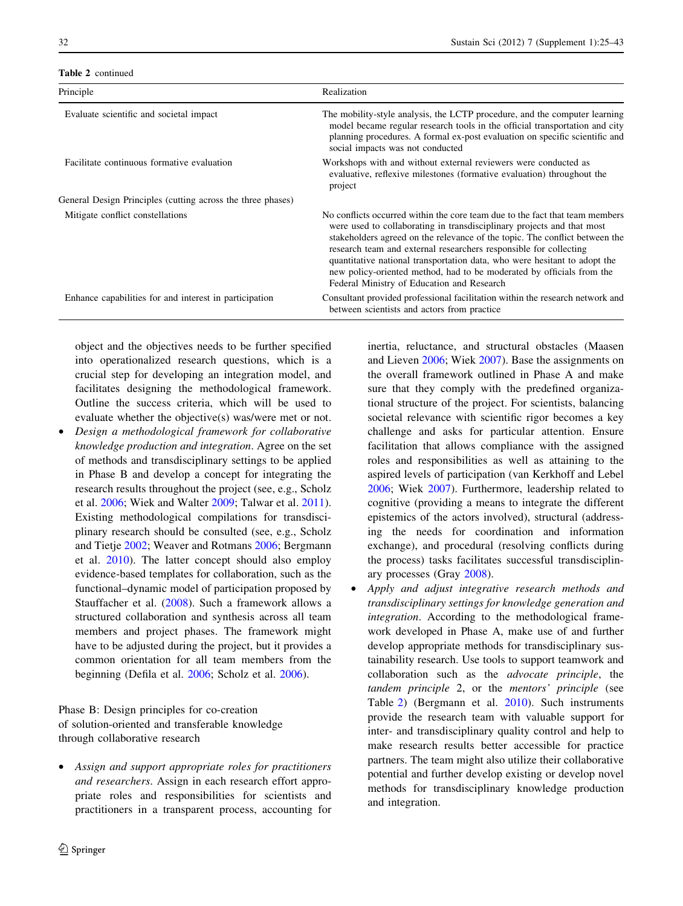Table 2 continued

| <b>LADIC</b> $\angle$ Continued                             |                                                                                                                                                                                                                                                                                                                                                                                                                                                                                                                |
|-------------------------------------------------------------|----------------------------------------------------------------------------------------------------------------------------------------------------------------------------------------------------------------------------------------------------------------------------------------------------------------------------------------------------------------------------------------------------------------------------------------------------------------------------------------------------------------|
| Principle                                                   | Realization                                                                                                                                                                                                                                                                                                                                                                                                                                                                                                    |
| Evaluate scientific and societal impact                     | The mobility-style analysis, the LCTP procedure, and the computer learning<br>model became regular research tools in the official transportation and city<br>planning procedures. A formal ex-post evaluation on specific scientific and<br>social impacts was not conducted                                                                                                                                                                                                                                   |
| Facilitate continuous formative evaluation                  | Workshops with and without external reviewers were conducted as<br>evaluative, reflexive milestones (formative evaluation) throughout the<br>project                                                                                                                                                                                                                                                                                                                                                           |
| General Design Principles (cutting across the three phases) |                                                                                                                                                                                                                                                                                                                                                                                                                                                                                                                |
| Mitigate conflict constellations                            | No conflicts occurred within the core team due to the fact that team members<br>were used to collaborating in transdisciplinary projects and that most<br>stakeholders agreed on the relevance of the topic. The conflict between the<br>research team and external researchers responsible for collecting<br>quantitative national transportation data, who were hesitant to adopt the<br>new policy-oriented method, had to be moderated by officials from the<br>Federal Ministry of Education and Research |
| Enhance capabilities for and interest in participation      | Consultant provided professional facilitation within the research network and<br>between scientists and actors from practice                                                                                                                                                                                                                                                                                                                                                                                   |

object and the objectives needs to be further specified into operationalized research questions, which is a crucial step for developing an integration model, and facilitates designing the methodological framework. Outline the success criteria, which will be used to evaluate whether the objective(s) was/were met or not.

• Design a methodological framework for collaborative knowledge production and integration. Agree on the set of methods and transdisciplinary settings to be applied in Phase B and develop a concept for integrating the research results throughout the project (see, e.g., Scholz et al. [2006;](#page-17-0) Wiek and Walter [2009;](#page-18-0) Talwar et al. [2011](#page-17-0)). Existing methodological compilations for transdisciplinary research should be consulted (see, e.g., Scholz and Tietje [2002](#page-17-0); Weaver and Rotmans [2006](#page-17-0); Bergmann et al. [2010\)](#page-16-0). The latter concept should also employ evidence-based templates for collaboration, such as the functional–dynamic model of participation proposed by Stauffacher et al. [\(2008](#page-17-0)). Such a framework allows a structured collaboration and synthesis across all team members and project phases. The framework might have to be adjusted during the project, but it provides a common orientation for all team members from the beginning (Defila et al. [2006;](#page-16-0) Scholz et al. [2006](#page-17-0)).

Phase B: Design principles for co-creation of solution-oriented and transferable knowledge through collaborative research

• Assign and support appropriate roles for practitioners and researchers. Assign in each research effort appropriate roles and responsibilities for scientists and practitioners in a transparent process, accounting for inertia, reluctance, and structural obstacles (Maasen and Lieven [2006](#page-17-0); Wiek [2007\)](#page-18-0). Base the assignments on the overall framework outlined in Phase A and make sure that they comply with the predefined organizational structure of the project. For scientists, balancing societal relevance with scientific rigor becomes a key challenge and asks for particular attention. Ensure facilitation that allows compliance with the assigned roles and responsibilities as well as attaining to the aspired levels of participation (van Kerkhoff and Lebel [2006;](#page-17-0) Wiek [2007](#page-18-0)). Furthermore, leadership related to cognitive (providing a means to integrate the different epistemics of the actors involved), structural (addressing the needs for coordination and information exchange), and procedural (resolving conflicts during the process) tasks facilitates successful transdisciplinary processes (Gray [2008\)](#page-16-0).

• Apply and adjust integrative research methods and transdisciplinary settings for knowledge generation and integration. According to the methodological framework developed in Phase A, make use of and further develop appropriate methods for transdisciplinary sustainability research. Use tools to support teamwork and collaboration such as the *advocate principle*, the tandem principle 2, or the mentors' principle (see Table [2\)](#page-6-0) (Bergmann et al. [2010](#page-16-0)). Such instruments provide the research team with valuable support for inter- and transdisciplinary quality control and help to make research results better accessible for practice partners. The team might also utilize their collaborative potential and further develop existing or develop novel methods for transdisciplinary knowledge production and integration.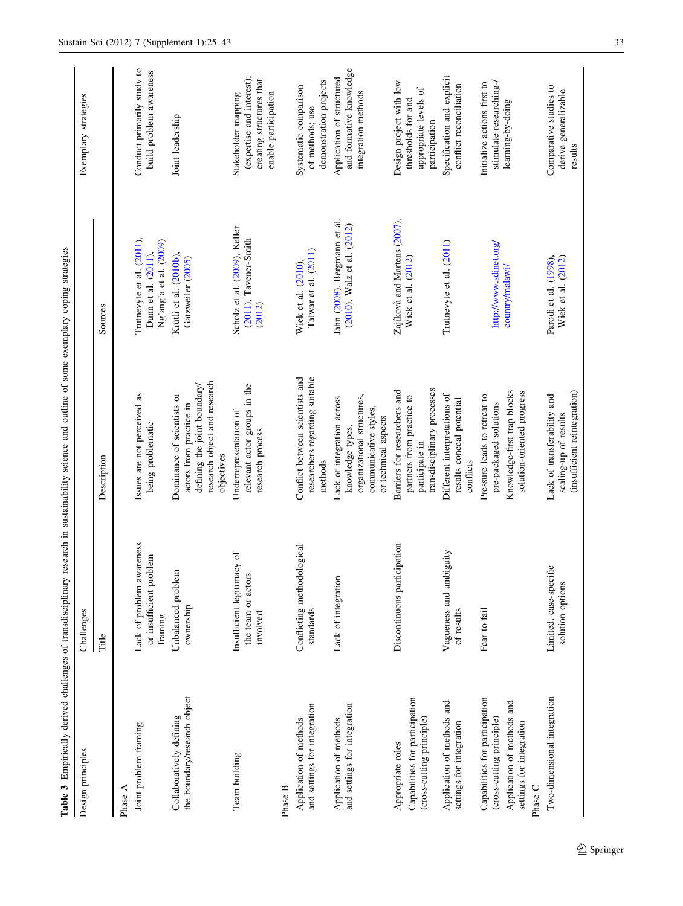<span id="page-8-0"></span>

| Table 3 Empirically derived challenges of transdisciplinary                                                                      |                                                                 | research in sustainability science and outline of some exemplary coping strategies                                                  |                                                                            |                                                                                                      |
|----------------------------------------------------------------------------------------------------------------------------------|-----------------------------------------------------------------|-------------------------------------------------------------------------------------------------------------------------------------|----------------------------------------------------------------------------|------------------------------------------------------------------------------------------------------|
| Design principles                                                                                                                | Challenges                                                      |                                                                                                                                     |                                                                            | Exemplary strategies                                                                                 |
|                                                                                                                                  | Title                                                           | Description                                                                                                                         | Sources                                                                    |                                                                                                      |
| Phase A                                                                                                                          |                                                                 |                                                                                                                                     |                                                                            |                                                                                                      |
| Joint problem framing                                                                                                            | Lack of problem awareness<br>or insufficient problem<br>framing | Issues are not perceived as<br>being problematic                                                                                    | Trutnevyte et al. (2011),<br>Ng'ang'a et al. (2009)<br>Dunn et al. (2011), | Conduct primarily study to<br>build problem awareness                                                |
| the boundary/research object<br>Collaboratively defining                                                                         | Unbalanced problem<br>ownership                                 | research object and research<br>defining the joint boundary/<br>Dominance of scientists or<br>actors from practice in<br>objectives | Krütli et al. (2010b),<br>Gatzweiler (2005)                                | Joint leadership                                                                                     |
| Team building                                                                                                                    | Insufficient legitimacy of<br>the team or actors<br>involved    | relevant actor groups in the<br>Underrepresentation of<br>research process                                                          | Scholz et al. (2009), Keller<br>(2011), Tavener-Smith<br>(2012)            | (expertise and interest);<br>creating structures that<br>enable participation<br>Stakeholder mapping |
| Phase B                                                                                                                          |                                                                 |                                                                                                                                     |                                                                            |                                                                                                      |
| and settings for integration<br>Application of methods                                                                           | Conflicting methodological<br>standards                         | researchers regarding suitable<br>Conflict between scientists and<br>methods                                                        | Talwar et al. (2011)<br>Wiek et al. (2010),                                | demonstration projects<br>Systematic comparison<br>of methods; use                                   |
| and settings for integration<br>Application of methods                                                                           | Lack of integration                                             | organizational structures,<br>Lack of integration across<br>communicative styles,<br>or technical aspects<br>knowledge types,       | Jahn (2008), Bergmann et al.<br>(2010), Walz et al. (2012)                 | and formative knowledge<br>Application of structured<br>integration methods                          |
| Capabilities for participation<br>(cross-cutting principle)<br>Appropriate roles                                                 | Discontinuous participation                                     | transdisciplinary processes<br>Barriers for researchers and<br>partners from practice to<br>participate in                          | Zajíkovà and Martens (2007),<br>Wiek et al. (2012)                         | Design project with low<br>appropriate levels of<br>thresholds for and<br>participation              |
| Application of methods and<br>settings for integration                                                                           | Vagueness and ambiguity<br>of results                           | Different interpretations of<br>results conceal potential<br>conflicts                                                              | Trutnevyte et al. (2011)                                                   | Specification and explicit<br>conflict reconciliation                                                |
| Capabilities for participation<br>Application of methods and<br>(cross-cutting principle)<br>settings for integration<br>Phase C | Fear to fail                                                    | Knowledge-first trap blocks<br>solution-oriented progress<br>Pressure leads to retreat to<br>pre-packaged solutions                 | http://www.sdinet.org/<br>country/malawi/                                  | stimulate researching-/<br>Initialize actions first to<br>learning-by-doing                          |
| Two-dimensional integration                                                                                                      | Limited, case-specific<br>solution options                      | (insufficient reintegration)<br>Lack of transferability and<br>scaling-up of results                                                | Parodi et al. (1998),<br>Wiek et al. (2012)                                | Comparative studies to<br>derive generalizable<br>results                                            |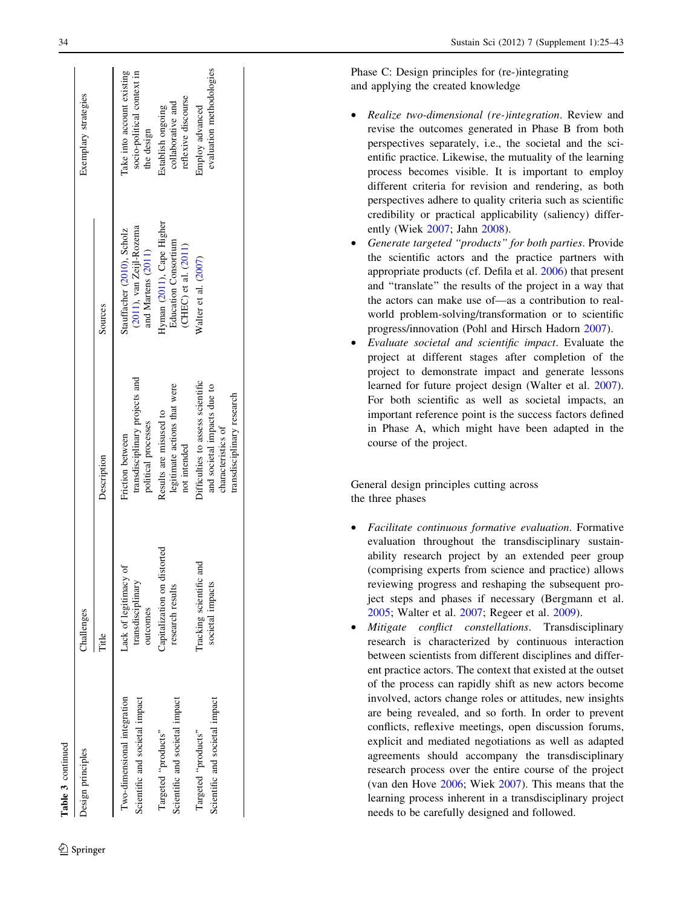| Table 3 continued                                             |                                                        |                                                                                                                      |                                                                                  |                                                                        |
|---------------------------------------------------------------|--------------------------------------------------------|----------------------------------------------------------------------------------------------------------------------|----------------------------------------------------------------------------------|------------------------------------------------------------------------|
| <b>Design principles</b>                                      | Challenges                                             |                                                                                                                      |                                                                                  | Exemplary strategies                                                   |
|                                                               | Title                                                  | Description                                                                                                          | Sources                                                                          |                                                                        |
| Two-dimensional integration<br>Scientific and societal impact | Lack of legitimacy of<br>transdisciplinary<br>outcomes | transdisciplinary projects and<br>political processes<br>Friction between                                            | (2011), van Zeijl-Rozema<br>Stauffacher (2010), Scholz<br>and Martens (2011)     | Take into account existing<br>socio-political context in<br>the design |
| Scientific and societal impact<br>Targeted "products"         | Capitalization on distorted<br>research results        | legitimate actions that were<br>Results are misused to<br>not intended                                               | Hyman (2011), Cape Higher<br><b>Education Consortium</b><br>(CHEC) et al. (2011) | reflexive discourse<br>collaborative and<br>Establish ongoing          |
| Scientific and societal impact<br>Targeted "products"         | Tracking scientific and<br>societal impacts            | Difficulties to assess scientific<br>and societal impacts due to<br>transdisciplinary research<br>characteristics of | Walter et al. (2007)                                                             | evaluation methodologies<br>Employ advanced                            |

Phase C: Design principles for (re-)integrating and applying the created knowledge

- Realize two-dimensional (re-)integration. Review and revise the outcomes generated in Phase B from both perspectives separately, i.e., the societal and the scientific practice. Likewise, the mutuality of the learning process becomes visible. It is important to employ different criteria for revision and rendering, as both perspectives adhere to quality criteria such as scientific credibility or practical applicability (saliency) differently (Wiek [2007](#page-18-0); Jahn [2008](#page-16-0)).
- Generate targeted ''products'' for both parties. Provide the scientific actors and the practice partners with appropriate products (cf. Defila et al. [2006\)](#page-16-0) that present and ''translate'' the results of the project in a way that the actors can make use of—as a contribution to realworld problem-solving/transformation or to scientific progress/innovation (Pohl and Hirsch Hadorn [2007](#page-17-0)).
- Evaluate societal and scientific impact. Evaluate the project at different stages after completion of the project to demonstrate impact and generate lessons learned for future project design (Walter et al. [2007](#page-17-0)). For both scientific as well as societal impacts, an important reference point is the success factors defined in Phase A, which might have been adapted in the course of the project.

General design principles cutting across the three phases

- Facilitate continuous formative evaluation. Formative evaluation throughout the transdisciplinary sustainability research project by an extended peer group (comprising experts from science and practice) allows reviewing progress and reshaping the subsequent project steps and phases if necessary (Bergmann et al. [2005;](#page-16-0) Walter et al. [2007](#page-17-0); Regeer et al. [2009\)](#page-17-0).
- Mitigate conflict constellations. Transdisciplinary research is characterized by continuous interaction between scientists from different disciplines and different practice actors. The context that existed at the outset of the process can rapidly shift as new actors become involved, actors change roles or attitudes, new insights are being revealed, and so forth. In order to prevent conflicts, reflexive meetings, open discussion forums, explicit and mediated negotiations as well as adapted agreements should accompany the transdisciplinary research process over the entire course of the project (van den Hove [2006](#page-17-0); Wiek [2007\)](#page-18-0). This means that the learning process inherent in a transdisciplinary project needs to be carefully designed and followed.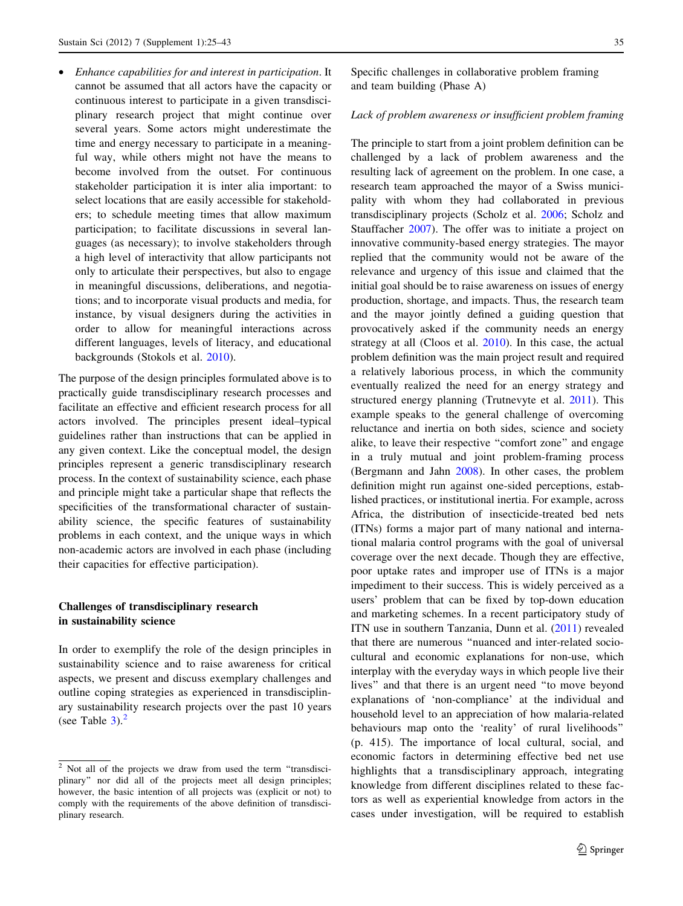<span id="page-10-0"></span>• Enhance capabilities for and interest in participation. It cannot be assumed that all actors have the capacity or continuous interest to participate in a given transdisciplinary research project that might continue over several years. Some actors might underestimate the time and energy necessary to participate in a meaningful way, while others might not have the means to become involved from the outset. For continuous stakeholder participation it is inter alia important: to select locations that are easily accessible for stakeholders; to schedule meeting times that allow maximum participation; to facilitate discussions in several languages (as necessary); to involve stakeholders through a high level of interactivity that allow participants not only to articulate their perspectives, but also to engage in meaningful discussions, deliberations, and negotiations; and to incorporate visual products and media, for instance, by visual designers during the activities in order to allow for meaningful interactions across different languages, levels of literacy, and educational backgrounds (Stokols et al. [2010](#page-17-0)).

The purpose of the design principles formulated above is to practically guide transdisciplinary research processes and facilitate an effective and efficient research process for all actors involved. The principles present ideal–typical guidelines rather than instructions that can be applied in any given context. Like the conceptual model, the design principles represent a generic transdisciplinary research process. In the context of sustainability science, each phase and principle might take a particular shape that reflects the specificities of the transformational character of sustainability science, the specific features of sustainability problems in each context, and the unique ways in which non-academic actors are involved in each phase (including their capacities for effective participation).

# Challenges of transdisciplinary research in sustainability science

In order to exemplify the role of the design principles in sustainability science and to raise awareness for critical aspects, we present and discuss exemplary challenges and outline coping strategies as experienced in transdisciplinary sustainability research projects over the past 10 years (see Table  $3$ ).<sup>2</sup>

Specific challenges in collaborative problem framing and team building (Phase A)

# Lack of problem awareness or insufficient problem framing

The principle to start from a joint problem definition can be challenged by a lack of problem awareness and the resulting lack of agreement on the problem. In one case, a research team approached the mayor of a Swiss municipality with whom they had collaborated in previous transdisciplinary projects (Scholz et al. [2006;](#page-17-0) Scholz and Stauffacher [2007](#page-17-0)). The offer was to initiate a project on innovative community-based energy strategies. The mayor replied that the community would not be aware of the relevance and urgency of this issue and claimed that the initial goal should be to raise awareness on issues of energy production, shortage, and impacts. Thus, the research team and the mayor jointly defined a guiding question that provocatively asked if the community needs an energy strategy at all (Cloos et al. [2010](#page-16-0)). In this case, the actual problem definition was the main project result and required a relatively laborious process, in which the community eventually realized the need for an energy strategy and structured energy planning (Trutnevyte et al. [2011\)](#page-17-0). This example speaks to the general challenge of overcoming reluctance and inertia on both sides, science and society alike, to leave their respective ''comfort zone'' and engage in a truly mutual and joint problem-framing process (Bergmann and Jahn [2008\)](#page-16-0). In other cases, the problem definition might run against one-sided perceptions, established practices, or institutional inertia. For example, across Africa, the distribution of insecticide-treated bed nets (ITNs) forms a major part of many national and international malaria control programs with the goal of universal coverage over the next decade. Though they are effective, poor uptake rates and improper use of ITNs is a major impediment to their success. This is widely perceived as a users' problem that can be fixed by top-down education and marketing schemes. In a recent participatory study of ITN use in southern Tanzania, Dunn et al. ([2011\)](#page-16-0) revealed that there are numerous ''nuanced and inter-related sociocultural and economic explanations for non-use, which interplay with the everyday ways in which people live their lives'' and that there is an urgent need ''to move beyond explanations of 'non-compliance' at the individual and household level to an appreciation of how malaria-related behaviours map onto the 'reality' of rural livelihoods'' (p. 415). The importance of local cultural, social, and economic factors in determining effective bed net use highlights that a transdisciplinary approach, integrating knowledge from different disciplines related to these factors as well as experiential knowledge from actors in the cases under investigation, will be required to establish

 $\sqrt{2}$  Not all of the projects we draw from used the term "transdisciplinary'' nor did all of the projects meet all design principles; however, the basic intention of all projects was (explicit or not) to comply with the requirements of the above definition of transdisciplinary research.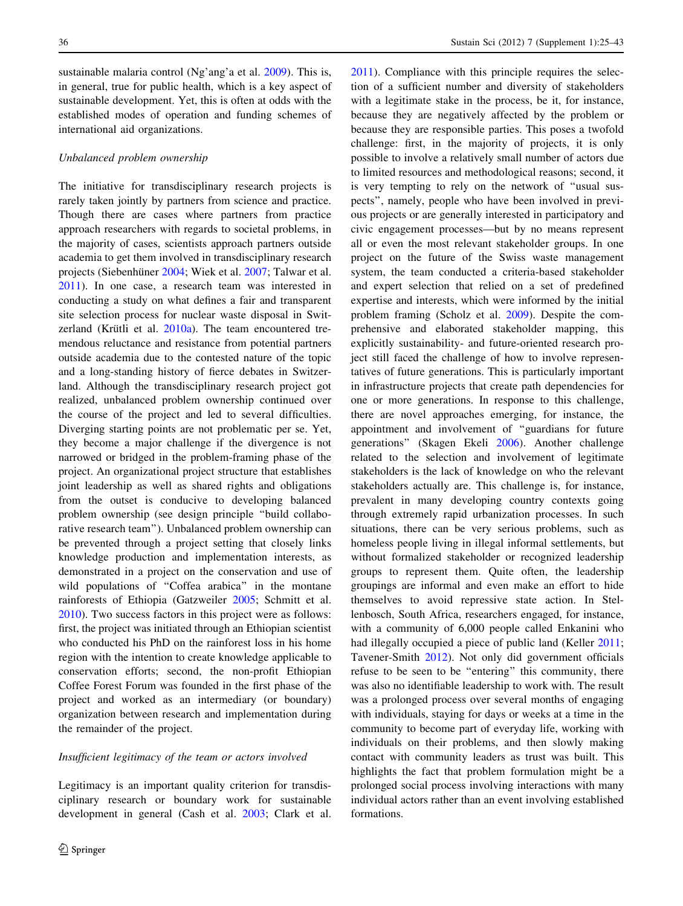sustainable malaria control (Ng'ang'a et al. [2009](#page-17-0)). This is, in general, true for public health, which is a key aspect of sustainable development. Yet, this is often at odds with the established modes of operation and funding schemes of international aid organizations.

### Unbalanced problem ownership

The initiative for transdisciplinary research projects is rarely taken jointly by partners from science and practice. Though there are cases where partners from practice approach researchers with regards to societal problems, in the majority of cases, scientists approach partners outside academia to get them involved in transdisciplinary research projects (Siebenhüner [2004](#page-17-0); Wiek et al. [2007](#page-18-0); Talwar et al. [2011\)](#page-17-0). In one case, a research team was interested in conducting a study on what defines a fair and transparent site selection process for nuclear waste disposal in Switzerland (Krütli et al.  $2010a$ ). The team encountered tremendous reluctance and resistance from potential partners outside academia due to the contested nature of the topic and a long-standing history of fierce debates in Switzerland. Although the transdisciplinary research project got realized, unbalanced problem ownership continued over the course of the project and led to several difficulties. Diverging starting points are not problematic per se. Yet, they become a major challenge if the divergence is not narrowed or bridged in the problem-framing phase of the project. An organizational project structure that establishes joint leadership as well as shared rights and obligations from the outset is conducive to developing balanced problem ownership (see design principle ''build collaborative research team''). Unbalanced problem ownership can be prevented through a project setting that closely links knowledge production and implementation interests, as demonstrated in a project on the conservation and use of wild populations of ''Coffea arabica'' in the montane rainforests of Ethiopia (Gatzweiler [2005;](#page-16-0) Schmitt et al. [2010\)](#page-17-0). Two success factors in this project were as follows: first, the project was initiated through an Ethiopian scientist who conducted his PhD on the rainforest loss in his home region with the intention to create knowledge applicable to conservation efforts; second, the non-profit Ethiopian Coffee Forest Forum was founded in the first phase of the project and worked as an intermediary (or boundary) organization between research and implementation during the remainder of the project.

# Insufficient legitimacy of the team or actors involved

Legitimacy is an important quality criterion for transdisciplinary research or boundary work for sustainable development in general (Cash et al. [2003](#page-16-0); Clark et al.

[2011](#page-16-0)). Compliance with this principle requires the selection of a sufficient number and diversity of stakeholders with a legitimate stake in the process, be it, for instance, because they are negatively affected by the problem or because they are responsible parties. This poses a twofold challenge: first, in the majority of projects, it is only possible to involve a relatively small number of actors due to limited resources and methodological reasons; second, it is very tempting to rely on the network of ''usual suspects'', namely, people who have been involved in previous projects or are generally interested in participatory and civic engagement processes—but by no means represent all or even the most relevant stakeholder groups. In one project on the future of the Swiss waste management system, the team conducted a criteria-based stakeholder and expert selection that relied on a set of predefined expertise and interests, which were informed by the initial problem framing (Scholz et al. [2009](#page-17-0)). Despite the comprehensive and elaborated stakeholder mapping, this explicitly sustainability- and future-oriented research project still faced the challenge of how to involve representatives of future generations. This is particularly important in infrastructure projects that create path dependencies for one or more generations. In response to this challenge, there are novel approaches emerging, for instance, the appointment and involvement of ''guardians for future generations'' (Skagen Ekeli [2006](#page-17-0)). Another challenge related to the selection and involvement of legitimate stakeholders is the lack of knowledge on who the relevant stakeholders actually are. This challenge is, for instance, prevalent in many developing country contexts going through extremely rapid urbanization processes. In such situations, there can be very serious problems, such as homeless people living in illegal informal settlements, but without formalized stakeholder or recognized leadership groups to represent them. Quite often, the leadership groupings are informal and even make an effort to hide themselves to avoid repressive state action. In Stellenbosch, South Africa, researchers engaged, for instance, with a community of 6,000 people called Enkanini who had illegally occupied a piece of public land (Keller [2011](#page-16-0); Tavener-Smith [2012\)](#page-17-0). Not only did government officials refuse to be seen to be ''entering'' this community, there was also no identifiable leadership to work with. The result was a prolonged process over several months of engaging with individuals, staying for days or weeks at a time in the community to become part of everyday life, working with individuals on their problems, and then slowly making contact with community leaders as trust was built. This highlights the fact that problem formulation might be a prolonged social process involving interactions with many individual actors rather than an event involving established formations.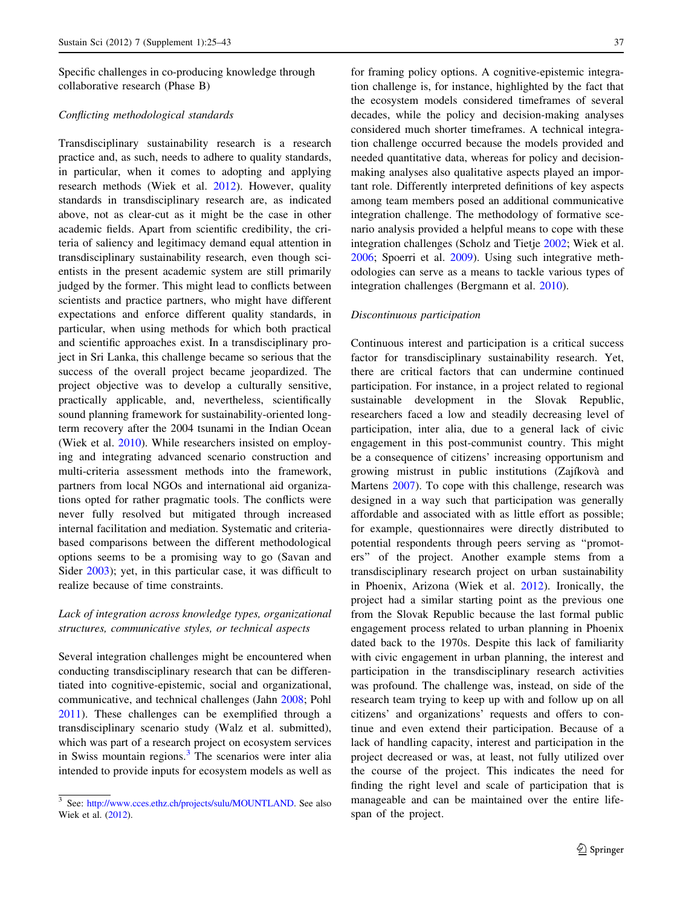Specific challenges in co-producing knowledge through collaborative research (Phase B)

# Conflicting methodological standards

Transdisciplinary sustainability research is a research practice and, as such, needs to adhere to quality standards, in particular, when it comes to adopting and applying research methods (Wiek et al. [2012](#page-18-0)). However, quality standards in transdisciplinary research are, as indicated above, not as clear-cut as it might be the case in other academic fields. Apart from scientific credibility, the criteria of saliency and legitimacy demand equal attention in transdisciplinary sustainability research, even though scientists in the present academic system are still primarily judged by the former. This might lead to conflicts between scientists and practice partners, who might have different expectations and enforce different quality standards, in particular, when using methods for which both practical and scientific approaches exist. In a transdisciplinary project in Sri Lanka, this challenge became so serious that the success of the overall project became jeopardized. The project objective was to develop a culturally sensitive, practically applicable, and, nevertheless, scientifically sound planning framework for sustainability-oriented longterm recovery after the 2004 tsunami in the Indian Ocean (Wiek et al. [2010](#page-18-0)). While researchers insisted on employing and integrating advanced scenario construction and multi-criteria assessment methods into the framework, partners from local NGOs and international aid organizations opted for rather pragmatic tools. The conflicts were never fully resolved but mitigated through increased internal facilitation and mediation. Systematic and criteriabased comparisons between the different methodological options seems to be a promising way to go (Savan and Sider [2003\)](#page-17-0); yet, in this particular case, it was difficult to realize because of time constraints.

# Lack of integration across knowledge types, organizational structures, communicative styles, or technical aspects

Several integration challenges might be encountered when conducting transdisciplinary research that can be differentiated into cognitive-epistemic, social and organizational, communicative, and technical challenges (Jahn [2008](#page-16-0); Pohl [2011\)](#page-17-0). These challenges can be exemplified through a transdisciplinary scenario study (Walz et al. submitted), which was part of a research project on ecosystem services in Swiss mountain regions.<sup>3</sup> The scenarios were inter alia intended to provide inputs for ecosystem models as well as

for framing policy options. A cognitive-epistemic integration challenge is, for instance, highlighted by the fact that the ecosystem models considered timeframes of several decades, while the policy and decision-making analyses considered much shorter timeframes. A technical integration challenge occurred because the models provided and needed quantitative data, whereas for policy and decisionmaking analyses also qualitative aspects played an important role. Differently interpreted definitions of key aspects among team members posed an additional communicative integration challenge. The methodology of formative scenario analysis provided a helpful means to cope with these integration challenges (Scholz and Tietje [2002](#page-17-0); Wiek et al. [2006](#page-18-0); Spoerri et al. [2009\)](#page-17-0). Using such integrative methodologies can serve as a means to tackle various types of integration challenges (Bergmann et al. [2010\)](#page-16-0).

### Discontinuous participation

Continuous interest and participation is a critical success factor for transdisciplinary sustainability research. Yet, there are critical factors that can undermine continued participation. For instance, in a project related to regional sustainable development in the Slovak Republic, researchers faced a low and steadily decreasing level of participation, inter alia, due to a general lack of civic engagement in this post-communist country. This might be a consequence of citizens' increasing opportunism and growing mistrust in public institutions (Zajíkovà and Martens [2007](#page-18-0)). To cope with this challenge, research was designed in a way such that participation was generally affordable and associated with as little effort as possible; for example, questionnaires were directly distributed to potential respondents through peers serving as ''promoters'' of the project. Another example stems from a transdisciplinary research project on urban sustainability in Phoenix, Arizona (Wiek et al. [2012](#page-18-0)). Ironically, the project had a similar starting point as the previous one from the Slovak Republic because the last formal public engagement process related to urban planning in Phoenix dated back to the 1970s. Despite this lack of familiarity with civic engagement in urban planning, the interest and participation in the transdisciplinary research activities was profound. The challenge was, instead, on side of the research team trying to keep up with and follow up on all citizens' and organizations' requests and offers to continue and even extend their participation. Because of a lack of handling capacity, interest and participation in the project decreased or was, at least, not fully utilized over the course of the project. This indicates the need for finding the right level and scale of participation that is manageable and can be maintained over the entire lifespan of the project.

<sup>3</sup> See: <http://www.cces.ethz.ch/projects/sulu/MOUNTLAND>. See also Wiek et al. [\(2012](#page-18-0)).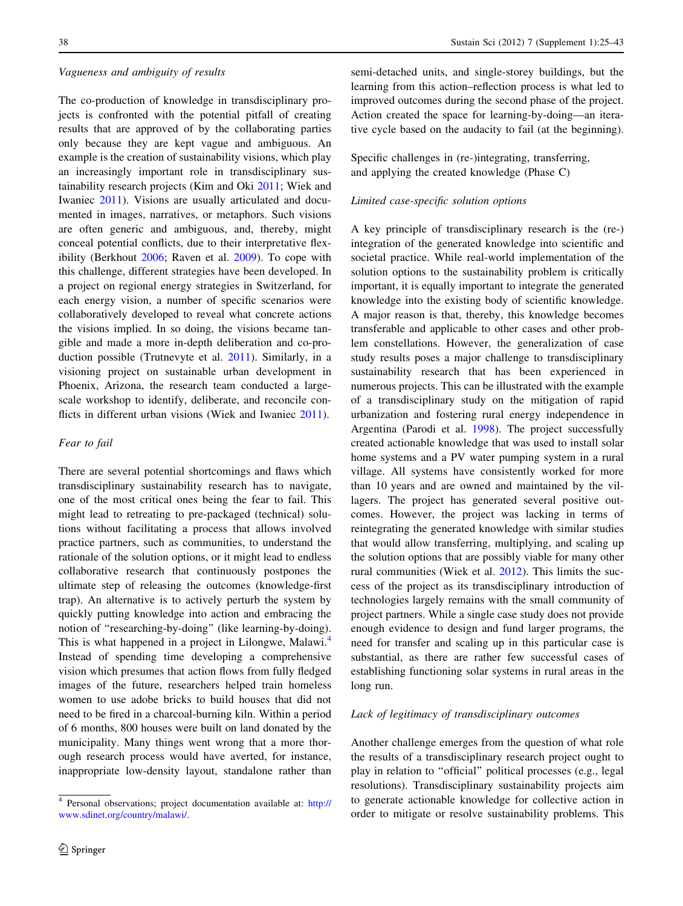### Vagueness and ambiguity of results

The co-production of knowledge in transdisciplinary projects is confronted with the potential pitfall of creating results that are approved of by the collaborating parties only because they are kept vague and ambiguous. An example is the creation of sustainability visions, which play an increasingly important role in transdisciplinary sustainability research projects (Kim and Oki [2011](#page-16-0); Wiek and Iwaniec [2011\)](#page-18-0). Visions are usually articulated and documented in images, narratives, or metaphors. Such visions are often generic and ambiguous, and, thereby, might conceal potential conflicts, due to their interpretative flexibility (Berkhout [2006](#page-16-0); Raven et al. [2009\)](#page-17-0). To cope with this challenge, different strategies have been developed. In a project on regional energy strategies in Switzerland, for each energy vision, a number of specific scenarios were collaboratively developed to reveal what concrete actions the visions implied. In so doing, the visions became tangible and made a more in-depth deliberation and co-production possible (Trutnevyte et al. [2011\)](#page-17-0). Similarly, in a visioning project on sustainable urban development in Phoenix, Arizona, the research team conducted a largescale workshop to identify, deliberate, and reconcile con-flicts in different urban visions (Wiek and Iwaniec [2011\)](#page-18-0).

### Fear to fail

There are several potential shortcomings and flaws which transdisciplinary sustainability research has to navigate, one of the most critical ones being the fear to fail. This might lead to retreating to pre-packaged (technical) solutions without facilitating a process that allows involved practice partners, such as communities, to understand the rationale of the solution options, or it might lead to endless collaborative research that continuously postpones the ultimate step of releasing the outcomes (knowledge-first trap). An alternative is to actively perturb the system by quickly putting knowledge into action and embracing the notion of ''researching-by-doing'' (like learning-by-doing). This is what happened in a project in Lilongwe, Malawi.<sup>4</sup> Instead of spending time developing a comprehensive vision which presumes that action flows from fully fledged images of the future, researchers helped train homeless women to use adobe bricks to build houses that did not need to be fired in a charcoal-burning kiln. Within a period of 6 months, 800 houses were built on land donated by the municipality. Many things went wrong that a more thorough research process would have averted, for instance, inappropriate low-density layout, standalone rather than semi-detached units, and single-storey buildings, but the learning from this action–reflection process is what led to improved outcomes during the second phase of the project. Action created the space for learning-by-doing—an iterative cycle based on the audacity to fail (at the beginning).

Specific challenges in (re-)integrating, transferring, and applying the created knowledge (Phase C)

# Limited case-specific solution options

A key principle of transdisciplinary research is the (re-) integration of the generated knowledge into scientific and societal practice. While real-world implementation of the solution options to the sustainability problem is critically important, it is equally important to integrate the generated knowledge into the existing body of scientific knowledge. A major reason is that, thereby, this knowledge becomes transferable and applicable to other cases and other problem constellations. However, the generalization of case study results poses a major challenge to transdisciplinary sustainability research that has been experienced in numerous projects. This can be illustrated with the example of a transdisciplinary study on the mitigation of rapid urbanization and fostering rural energy independence in Argentina (Parodi et al. [1998\)](#page-17-0). The project successfully created actionable knowledge that was used to install solar home systems and a PV water pumping system in a rural village. All systems have consistently worked for more than 10 years and are owned and maintained by the villagers. The project has generated several positive outcomes. However, the project was lacking in terms of reintegrating the generated knowledge with similar studies that would allow transferring, multiplying, and scaling up the solution options that are possibly viable for many other rural communities (Wiek et al. [2012\)](#page-18-0). This limits the success of the project as its transdisciplinary introduction of technologies largely remains with the small community of project partners. While a single case study does not provide enough evidence to design and fund larger programs, the need for transfer and scaling up in this particular case is substantial, as there are rather few successful cases of establishing functioning solar systems in rural areas in the long run.

#### Lack of legitimacy of transdisciplinary outcomes

Another challenge emerges from the question of what role the results of a transdisciplinary research project ought to play in relation to ''official'' political processes (e.g., legal resolutions). Transdisciplinary sustainability projects aim to generate actionable knowledge for collective action in order to mitigate or resolve sustainability problems. This

<sup>4</sup> Personal observations; project documentation available at: [http://](http://www.sdinet.org/country/malawi/) [www.sdinet.org/country/malawi/](http://www.sdinet.org/country/malawi/).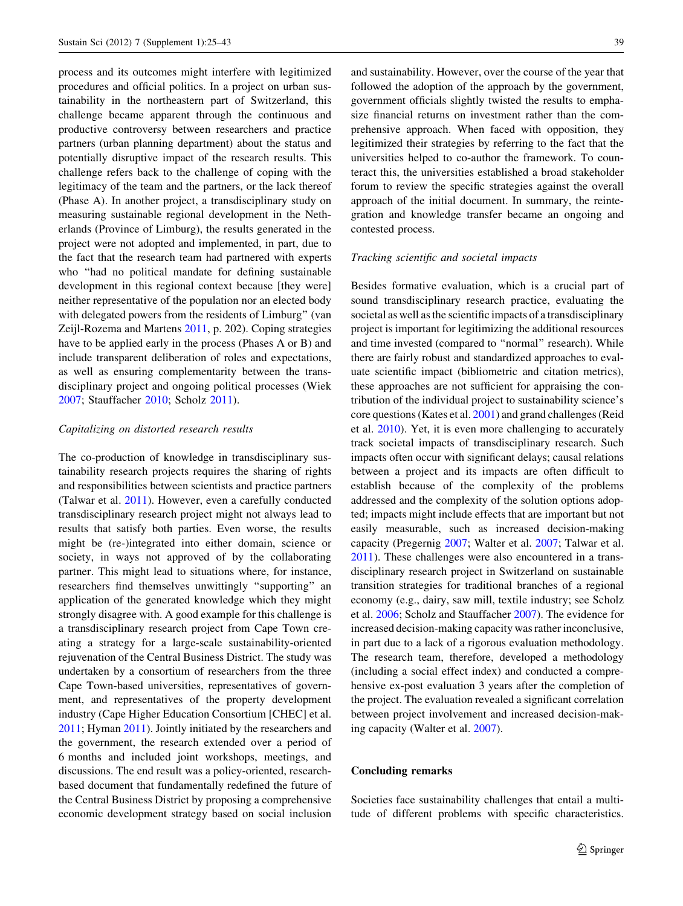<span id="page-14-0"></span>process and its outcomes might interfere with legitimized procedures and official politics. In a project on urban sustainability in the northeastern part of Switzerland, this challenge became apparent through the continuous and productive controversy between researchers and practice partners (urban planning department) about the status and potentially disruptive impact of the research results. This challenge refers back to the challenge of coping with the legitimacy of the team and the partners, or the lack thereof (Phase A). In another project, a transdisciplinary study on measuring sustainable regional development in the Netherlands (Province of Limburg), the results generated in the project were not adopted and implemented, in part, due to the fact that the research team had partnered with experts who ''had no political mandate for defining sustainable development in this regional context because [they were] neither representative of the population nor an elected body with delegated powers from the residents of Limburg'' (van Zeijl-Rozema and Martens [2011,](#page-17-0) p. 202). Coping strategies have to be applied early in the process (Phases A or B) and include transparent deliberation of roles and expectations, as well as ensuring complementarity between the transdisciplinary project and ongoing political processes (Wiek [2007;](#page-18-0) Stauffacher [2010;](#page-17-0) Scholz [2011](#page-17-0)).

### Capitalizing on distorted research results

The co-production of knowledge in transdisciplinary sustainability research projects requires the sharing of rights and responsibilities between scientists and practice partners (Talwar et al. [2011\)](#page-17-0). However, even a carefully conducted transdisciplinary research project might not always lead to results that satisfy both parties. Even worse, the results might be (re-)integrated into either domain, science or society, in ways not approved of by the collaborating partner. This might lead to situations where, for instance, researchers find themselves unwittingly ''supporting'' an application of the generated knowledge which they might strongly disagree with. A good example for this challenge is a transdisciplinary research project from Cape Town creating a strategy for a large-scale sustainability-oriented rejuvenation of the Central Business District. The study was undertaken by a consortium of researchers from the three Cape Town-based universities, representatives of government, and representatives of the property development industry (Cape Higher Education Consortium [CHEC] et al. [2011;](#page-16-0) Hyman [2011\)](#page-16-0). Jointly initiated by the researchers and the government, the research extended over a period of 6 months and included joint workshops, meetings, and discussions. The end result was a policy-oriented, researchbased document that fundamentally redefined the future of the Central Business District by proposing a comprehensive economic development strategy based on social inclusion

and sustainability. However, over the course of the year that followed the adoption of the approach by the government, government officials slightly twisted the results to emphasize financial returns on investment rather than the comprehensive approach. When faced with opposition, they legitimized their strategies by referring to the fact that the universities helped to co-author the framework. To counteract this, the universities established a broad stakeholder forum to review the specific strategies against the overall approach of the initial document. In summary, the reintegration and knowledge transfer became an ongoing and contested process.

### Tracking scientific and societal impacts

Besides formative evaluation, which is a crucial part of sound transdisciplinary research practice, evaluating the societal as well as the scientific impacts of a transdisciplinary project is important for legitimizing the additional resources and time invested (compared to ''normal'' research). While there are fairly robust and standardized approaches to evaluate scientific impact (bibliometric and citation metrics), these approaches are not sufficient for appraising the contribution of the individual project to sustainability science's core questions (Kates et al. [2001\)](#page-16-0) and grand challenges (Reid et al. [2010](#page-17-0)). Yet, it is even more challenging to accurately track societal impacts of transdisciplinary research. Such impacts often occur with significant delays; causal relations between a project and its impacts are often difficult to establish because of the complexity of the problems addressed and the complexity of the solution options adopted; impacts might include effects that are important but not easily measurable, such as increased decision-making capacity (Pregernig [2007;](#page-17-0) Walter et al. [2007;](#page-17-0) Talwar et al. [2011](#page-17-0)). These challenges were also encountered in a transdisciplinary research project in Switzerland on sustainable transition strategies for traditional branches of a regional economy (e.g., dairy, saw mill, textile industry; see Scholz et al. [2006;](#page-17-0) Scholz and Stauffacher [2007](#page-17-0)). The evidence for increased decision-making capacity was rather inconclusive, in part due to a lack of a rigorous evaluation methodology. The research team, therefore, developed a methodology (including a social effect index) and conducted a comprehensive ex-post evaluation 3 years after the completion of the project. The evaluation revealed a significant correlation between project involvement and increased decision-making capacity (Walter et al. [2007](#page-17-0)).

# Concluding remarks

Societies face sustainability challenges that entail a multitude of different problems with specific characteristics.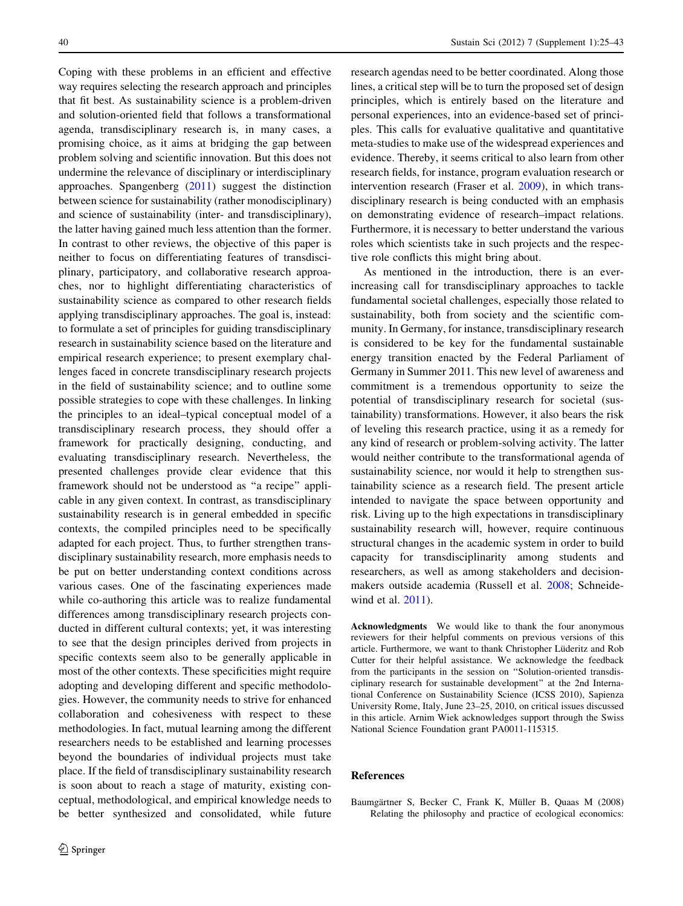<span id="page-15-0"></span>Coping with these problems in an efficient and effective way requires selecting the research approach and principles that fit best. As sustainability science is a problem-driven and solution-oriented field that follows a transformational agenda, transdisciplinary research is, in many cases, a promising choice, as it aims at bridging the gap between problem solving and scientific innovation. But this does not undermine the relevance of disciplinary or interdisciplinary approaches. Spangenberg ([2011\)](#page-17-0) suggest the distinction between science for sustainability (rather monodisciplinary) and science of sustainability (inter- and transdisciplinary), the latter having gained much less attention than the former. In contrast to other reviews, the objective of this paper is neither to focus on differentiating features of transdisciplinary, participatory, and collaborative research approaches, nor to highlight differentiating characteristics of sustainability science as compared to other research fields applying transdisciplinary approaches. The goal is, instead: to formulate a set of principles for guiding transdisciplinary research in sustainability science based on the literature and empirical research experience; to present exemplary challenges faced in concrete transdisciplinary research projects in the field of sustainability science; and to outline some possible strategies to cope with these challenges. In linking the principles to an ideal–typical conceptual model of a transdisciplinary research process, they should offer a framework for practically designing, conducting, and evaluating transdisciplinary research. Nevertheless, the presented challenges provide clear evidence that this framework should not be understood as ''a recipe'' applicable in any given context. In contrast, as transdisciplinary sustainability research is in general embedded in specific contexts, the compiled principles need to be specifically adapted for each project. Thus, to further strengthen transdisciplinary sustainability research, more emphasis needs to be put on better understanding context conditions across various cases. One of the fascinating experiences made while co-authoring this article was to realize fundamental differences among transdisciplinary research projects conducted in different cultural contexts; yet, it was interesting to see that the design principles derived from projects in specific contexts seem also to be generally applicable in most of the other contexts. These specificities might require adopting and developing different and specific methodologies. However, the community needs to strive for enhanced collaboration and cohesiveness with respect to these methodologies. In fact, mutual learning among the different researchers needs to be established and learning processes beyond the boundaries of individual projects must take place. If the field of transdisciplinary sustainability research is soon about to reach a stage of maturity, existing conceptual, methodological, and empirical knowledge needs to be better synthesized and consolidated, while future research agendas need to be better coordinated. Along those lines, a critical step will be to turn the proposed set of design principles, which is entirely based on the literature and personal experiences, into an evidence-based set of principles. This calls for evaluative qualitative and quantitative meta-studies to make use of the widespread experiences and evidence. Thereby, it seems critical to also learn from other research fields, for instance, program evaluation research or intervention research (Fraser et al. [2009](#page-16-0)), in which transdisciplinary research is being conducted with an emphasis on demonstrating evidence of research–impact relations. Furthermore, it is necessary to better understand the various roles which scientists take in such projects and the respective role conflicts this might bring about.

As mentioned in the introduction, there is an everincreasing call for transdisciplinary approaches to tackle fundamental societal challenges, especially those related to sustainability, both from society and the scientific community. In Germany, for instance, transdisciplinary research is considered to be key for the fundamental sustainable energy transition enacted by the Federal Parliament of Germany in Summer 2011. This new level of awareness and commitment is a tremendous opportunity to seize the potential of transdisciplinary research for societal (sustainability) transformations. However, it also bears the risk of leveling this research practice, using it as a remedy for any kind of research or problem-solving activity. The latter would neither contribute to the transformational agenda of sustainability science, nor would it help to strengthen sustainability science as a research field. The present article intended to navigate the space between opportunity and risk. Living up to the high expectations in transdisciplinary sustainability research will, however, require continuous structural changes in the academic system in order to build capacity for transdisciplinarity among students and researchers, as well as among stakeholders and decisionmakers outside academia (Russell et al. [2008](#page-17-0); Schneidewind et al. [2011](#page-17-0)).

Acknowledgments We would like to thank the four anonymous reviewers for their helpful comments on previous versions of this article. Furthermore, we want to thank Christopher Lüderitz and Rob Cutter for their helpful assistance. We acknowledge the feedback from the participants in the session on ''Solution-oriented transdisciplinary research for sustainable development'' at the 2nd International Conference on Sustainability Science (ICSS 2010), Sapienza University Rome, Italy, June 23–25, 2010, on critical issues discussed in this article. Arnim Wiek acknowledges support through the Swiss National Science Foundation grant PA0011-115315.

#### References

Baumgärtner S, Becker C, Frank K, Müller B, Quaas M (2008) Relating the philosophy and practice of ecological economics: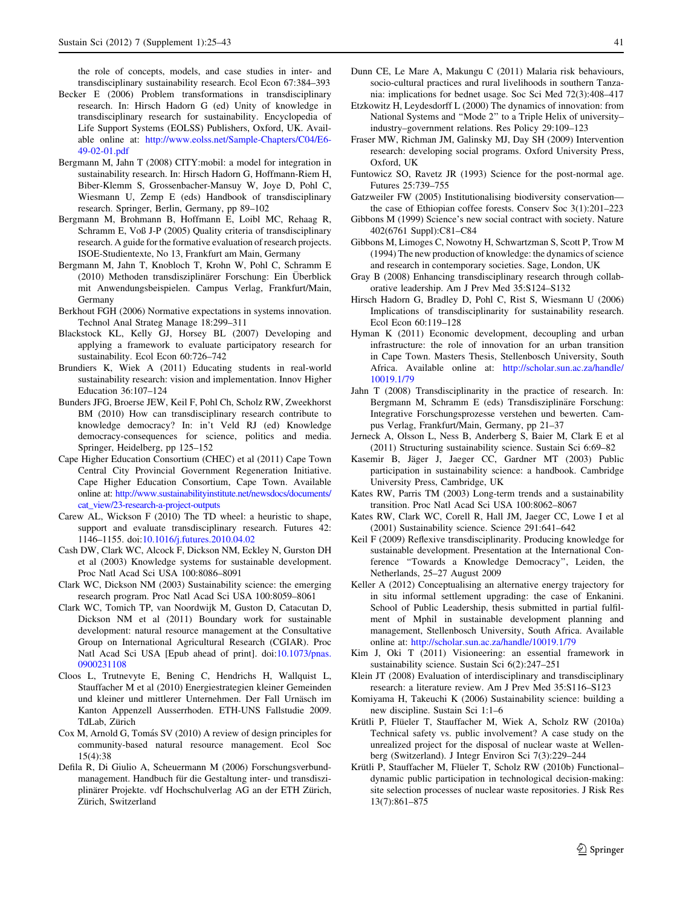<span id="page-16-0"></span>the role of concepts, models, and case studies in inter- and transdisciplinary sustainability research. Ecol Econ 67:384–393

- Becker E (2006) Problem transformations in transdisciplinary research. In: Hirsch Hadorn G (ed) Unity of knowledge in transdisciplinary research for sustainability. Encyclopedia of Life Support Systems (EOLSS) Publishers, Oxford, UK. Available online at: [http://www.eolss.net/Sample-Chapters/C04/E6-](http://www.eolss.net/Sample-Chapters/C04/E6-49-02-01.pdf) [49-02-01.pdf](http://www.eolss.net/Sample-Chapters/C04/E6-49-02-01.pdf)
- Bergmann M, Jahn T (2008) CITY:mobil: a model for integration in sustainability research. In: Hirsch Hadorn G, Hoffmann-Riem H, Biber-Klemm S, Grossenbacher-Mansuy W, Joye D, Pohl C, Wiesmann U, Zemp E (eds) Handbook of transdisciplinary research. Springer, Berlin, Germany, pp 89–102
- Bergmann M, Brohmann B, Hoffmann E, Loibl MC, Rehaag R, Schramm E, Voß J-P (2005) Quality criteria of transdisciplinary research. A guide for the formative evaluation of research projects. ISOE-Studientexte, No 13, Frankfurt am Main, Germany
- Bergmann M, Jahn T, Knobloch T, Krohn W, Pohl C, Schramm E (2010) Methoden transdisziplinärer Forschung: Ein Überblick mit Anwendungsbeispielen. Campus Verlag, Frankfurt/Main, Germany
- Berkhout FGH (2006) Normative expectations in systems innovation. Technol Anal Strateg Manage 18:299–311
- Blackstock KL, Kelly GJ, Horsey BL (2007) Developing and applying a framework to evaluate participatory research for sustainability. Ecol Econ 60:726–742
- Brundiers K, Wiek A (2011) Educating students in real-world sustainability research: vision and implementation. Innov Higher Education 36:107–124
- Bunders JFG, Broerse JEW, Keil F, Pohl Ch, Scholz RW, Zweekhorst BM (2010) How can transdisciplinary research contribute to knowledge democracy? In: in't Veld RJ (ed) Knowledge democracy-consequences for science, politics and media. Springer, Heidelberg, pp 125–152
- Cape Higher Education Consortium (CHEC) et al (2011) Cape Town Central City Provincial Government Regeneration Initiative. Cape Higher Education Consortium, Cape Town. Available online at: [http://www.sustainabilityinstitute.net/newsdocs/documents/](http://www.sustainabilityinstitute.net/newsdocs/documents/cat_view/23-research-a-project-outputs) [cat\\_view/23-research-a-project-outputs](http://www.sustainabilityinstitute.net/newsdocs/documents/cat_view/23-research-a-project-outputs)
- Carew AL, Wickson F (2010) The TD wheel: a heuristic to shape, support and evaluate transdisciplinary research. Futures 42: 1146–1155. doi[:10.1016/j.futures.2010.04.02](http://dx.doi.org/10.1016/j.futures.2010.04.02)
- Cash DW, Clark WC, Alcock F, Dickson NM, Eckley N, Gurston DH et al (2003) Knowledge systems for sustainable development. Proc Natl Acad Sci USA 100:8086–8091
- Clark WC, Dickson NM (2003) Sustainability science: the emerging research program. Proc Natl Acad Sci USA 100:8059–8061
- Clark WC, Tomich TP, van Noordwijk M, Guston D, Catacutan D, Dickson NM et al (2011) Boundary work for sustainable development: natural resource management at the Consultative Group on International Agricultural Research (CGIAR). Proc Natl Acad Sci USA [Epub ahead of print]. doi:[10.1073/pnas.](http://dx.doi.org/10.1073/pnas.0900231108) [0900231108](http://dx.doi.org/10.1073/pnas.0900231108)
- Cloos L, Trutnevyte E, Bening C, Hendrichs H, Wallquist L, Stauffacher M et al (2010) Energiestrategien kleiner Gemeinden und kleiner und mittlerer Unternehmen. Der Fall Urnäsch im Kanton Appenzell Ausserrhoden. ETH-UNS Fallstudie 2009. TdLab, Zürich
- Cox M, Arnold G, Tomás SV (2010) A review of design principles for community-based natural resource management. Ecol Soc 15(4):38
- Defila R, Di Giulio A, Scheuermann M (2006) Forschungsverbundmanagement. Handbuch für die Gestaltung inter- und transdisziplinärer Projekte. vdf Hochschulverlag AG an der ETH Zürich, Zürich, Switzerland
- Dunn CE, Le Mare A, Makungu C (2011) Malaria risk behaviours, socio-cultural practices and rural livelihoods in southern Tanzania: implications for bednet usage. Soc Sci Med 72(3):408–417
- Etzkowitz H, Leydesdorff L (2000) The dynamics of innovation: from National Systems and ''Mode 2'' to a Triple Helix of university– industry–government relations. Res Policy 29:109–123
- Fraser MW, Richman JM, Galinsky MJ, Day SH (2009) Intervention research: developing social programs. Oxford University Press, Oxford, UK
- Funtowicz SO, Ravetz JR (1993) Science for the post-normal age. Futures 25:739–755
- Gatzweiler FW (2005) Institutionalising biodiversity conservation the case of Ethiopian coffee forests. Conserv Soc 3(1):201–223
- Gibbons M (1999) Science's new social contract with society. Nature 402(6761 Suppl):C81–C84
- Gibbons M, Limoges C, Nowotny H, Schwartzman S, Scott P, Trow M (1994) The new production of knowledge: the dynamics of science and research in contemporary societies. Sage, London, UK
- Gray B (2008) Enhancing transdisciplinary research through collaborative leadership. Am J Prev Med 35:S124–S132
- Hirsch Hadorn G, Bradley D, Pohl C, Rist S, Wiesmann U (2006) Implications of transdisciplinarity for sustainability research. Ecol Econ 60:119–128
- Hyman K (2011) Economic development, decoupling and urban infrastructure: the role of innovation for an urban transition in Cape Town. Masters Thesis, Stellenbosch University, South Africa. Available online at: [http://scholar.sun.ac.za/handle/](http://scholar.sun.ac.za/handle/10019.1/79) [10019.1/79](http://scholar.sun.ac.za/handle/10019.1/79)
- Jahn T (2008) Transdisciplinarity in the practice of research. In: Bergmann M, Schramm E (eds) Transdisziplinäre Forschung: Integrative Forschungsprozesse verstehen und bewerten. Campus Verlag, Frankfurt/Main, Germany, pp 21–37
- Jerneck A, Olsson L, Ness B, Anderberg S, Baier M, Clark E et al (2011) Structuring sustainability science. Sustain Sci 6:69–82
- Kasemir B, Jäger J, Jaeger CC, Gardner MT (2003) Public participation in sustainability science: a handbook. Cambridge University Press, Cambridge, UK
- Kates RW, Parris TM (2003) Long-term trends and a sustainability transition. Proc Natl Acad Sci USA 100:8062–8067
- Kates RW, Clark WC, Corell R, Hall JM, Jaeger CC, Lowe I et al (2001) Sustainability science. Science 291:641–642
- Keil F (2009) Reflexive transdisciplinarity. Producing knowledge for sustainable development. Presentation at the International Conference ''Towards a Knowledge Democracy'', Leiden, the Netherlands, 25–27 August 2009
- Keller A (2012) Conceptualising an alternative energy trajectory for in situ informal settlement upgrading: the case of Enkanini. School of Public Leadership, thesis submitted in partial fulfilment of Mphil in sustainable development planning and management, Stellenbosch University, South Africa. Available online at: <http://scholar.sun.ac.za/handle/10019.1/79>
- Kim J, Oki T (2011) Visioneering: an essential framework in sustainability science. Sustain Sci 6(2):247–251
- Klein JT (2008) Evaluation of interdisciplinary and transdisciplinary research: a literature review. Am J Prev Med 35:S116–S123
- Komiyama H, Takeuchi K (2006) Sustainability science: building a new discipline. Sustain Sci 1:1–6
- Krütli P, Flüeler T, Stauffacher M, Wiek A, Scholz RW (2010a) Technical safety vs. public involvement? A case study on the unrealized project for the disposal of nuclear waste at Wellenberg (Switzerland). J Integr Environ Sci 7(3):229–244
- Krütli P, Stauffacher M, Flüeler T, Scholz RW (2010b) Functionaldynamic public participation in technological decision-making: site selection processes of nuclear waste repositories. J Risk Res 13(7):861–875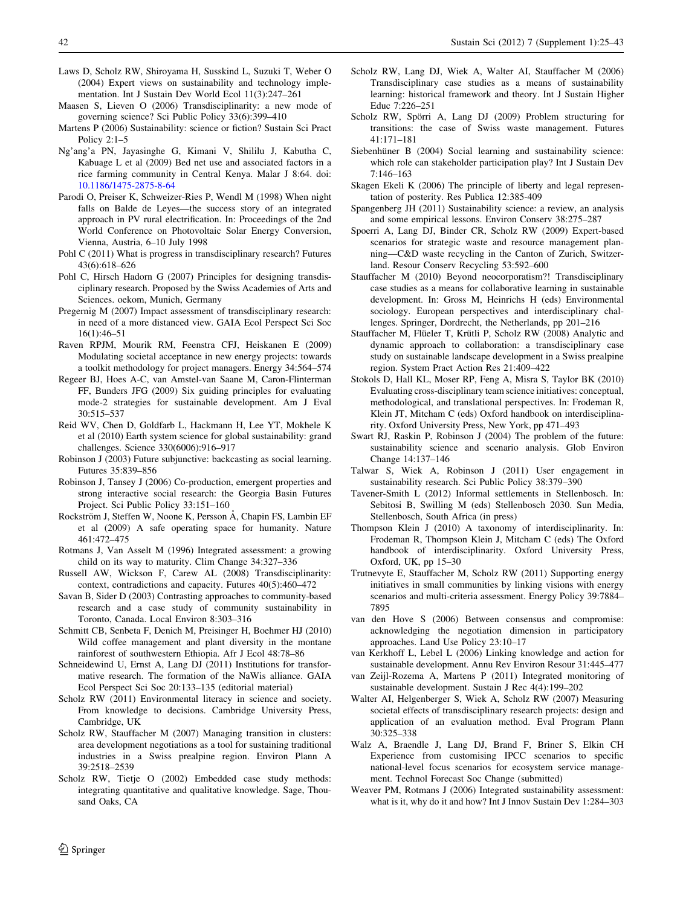- <span id="page-17-0"></span>Laws D, Scholz RW, Shiroyama H, Susskind L, Suzuki T, Weber O (2004) Expert views on sustainability and technology implementation. Int J Sustain Dev World Ecol 11(3):247–261
- Maasen S, Lieven O (2006) Transdisciplinarity: a new mode of governing science? Sci Public Policy 33(6):399–410
- Martens P (2006) Sustainability: science or fiction? Sustain Sci Pract Policy 2:1–5
- Ng'ang'a PN, Jayasinghe G, Kimani V, Shililu J, Kabutha C, Kabuage L et al (2009) Bed net use and associated factors in a rice farming community in Central Kenya. Malar J 8:64. doi: [10.1186/1475-2875-8-64](http://dx.doi.org/10.1186/1475-2875-8-64)
- Parodi O, Preiser K, Schweizer-Ries P, Wendl M (1998) When night falls on Balde de Leyes—the success story of an integrated approach in PV rural electrification. In: Proceedings of the 2nd World Conference on Photovoltaic Solar Energy Conversion, Vienna, Austria, 6–10 July 1998
- Pohl C (2011) What is progress in transdisciplinary research? Futures 43(6):618–626
- Pohl C, Hirsch Hadorn G (2007) Principles for designing transdisciplinary research. Proposed by the Swiss Academies of Arts and Sciences. oekom, Munich, Germany
- Pregernig M (2007) Impact assessment of transdisciplinary research: in need of a more distanced view. GAIA Ecol Perspect Sci Soc 16(1):46–51
- Raven RPJM, Mourik RM, Feenstra CFJ, Heiskanen E (2009) Modulating societal acceptance in new energy projects: towards a toolkit methodology for project managers. Energy 34:564–574
- Regeer BJ, Hoes A-C, van Amstel-van Saane M, Caron-Flinterman FF, Bunders JFG (2009) Six guiding principles for evaluating mode-2 strategies for sustainable development. Am J Eval 30:515–537
- Reid WV, Chen D, Goldfarb L, Hackmann H, Lee YT, Mokhele K et al (2010) Earth system science for global sustainability: grand challenges. Science 330(6006):916–917
- Robinson J (2003) Future subjunctive: backcasting as social learning. Futures 35:839–856
- Robinson J, Tansey J (2006) Co-production, emergent properties and strong interactive social research: the Georgia Basin Futures Project. Sci Public Policy 33:151–160
- Rockström J, Steffen W, Noone K, Persson Å, Chapin FS, Lambin EF et al (2009) A safe operating space for humanity. Nature 461:472–475
- Rotmans J, Van Asselt M (1996) Integrated assessment: a growing child on its way to maturity. Clim Change 34:327–336
- Russell AW, Wickson F, Carew AL (2008) Transdisciplinarity: context, contradictions and capacity. Futures 40(5):460–472
- Savan B, Sider D (2003) Contrasting approaches to community-based research and a case study of community sustainability in Toronto, Canada. Local Environ 8:303–316
- Schmitt CB, Senbeta F, Denich M, Preisinger H, Boehmer HJ (2010) Wild coffee management and plant diversity in the montane rainforest of southwestern Ethiopia. Afr J Ecol 48:78–86
- Schneidewind U, Ernst A, Lang DJ (2011) Institutions for transformative research. The formation of the NaWis alliance. GAIA Ecol Perspect Sci Soc 20:133–135 (editorial material)
- Scholz RW (2011) Environmental literacy in science and society. From knowledge to decisions. Cambridge University Press, Cambridge, UK
- Scholz RW, Stauffacher M (2007) Managing transition in clusters: area development negotiations as a tool for sustaining traditional industries in a Swiss prealpine region. Environ Plann A 39:2518–2539
- Scholz RW, Tietje O (2002) Embedded case study methods: integrating quantitative and qualitative knowledge. Sage, Thousand Oaks, CA
- Scholz RW, Lang DJ, Wiek A, Walter AI, Stauffacher M (2006) Transdisciplinary case studies as a means of sustainability learning: historical framework and theory. Int J Sustain Higher Educ 7:226–251
- Scholz RW, Spörri A, Lang DJ (2009) Problem structuring for transitions: the case of Swiss waste management. Futures 41:171–181
- Siebenhüner B (2004) Social learning and sustainability science: which role can stakeholder participation play? Int J Sustain Dev 7:146–163
- Skagen Ekeli K (2006) The principle of liberty and legal representation of posterity. Res Publica 12:385-409
- Spangenberg JH (2011) Sustainability science: a review, an analysis and some empirical lessons. Environ Conserv 38:275–287
- Spoerri A, Lang DJ, Binder CR, Scholz RW (2009) Expert-based scenarios for strategic waste and resource management planning—C&D waste recycling in the Canton of Zurich, Switzerland. Resour Conserv Recycling 53:592–600
- Stauffacher M (2010) Beyond neocorporatism?! Transdisciplinary case studies as a means for collaborative learning in sustainable development. In: Gross M, Heinrichs H (eds) Environmental sociology. European perspectives and interdisciplinary challenges. Springer, Dordrecht, the Netherlands, pp 201–216
- Stauffacher M, Flüeler T, Krütli P, Scholz RW (2008) Analytic and dynamic approach to collaboration: a transdisciplinary case study on sustainable landscape development in a Swiss prealpine region. System Pract Action Res 21:409–422
- Stokols D, Hall KL, Moser RP, Feng A, Misra S, Taylor BK (2010) Evaluating cross-disciplinary team science initiatives: conceptual, methodological, and translational perspectives. In: Frodeman R, Klein JT, Mitcham C (eds) Oxford handbook on interdisciplinarity. Oxford University Press, New York, pp 471–493
- Swart RJ, Raskin P, Robinson J (2004) The problem of the future: sustainability science and scenario analysis. Glob Environ Change 14:137–146
- Talwar S, Wiek A, Robinson J (2011) User engagement in sustainability research. Sci Public Policy 38:379–390
- Tavener-Smith L (2012) Informal settlements in Stellenbosch. In: Sebitosi B, Swilling M (eds) Stellenbosch 2030. Sun Media, Stellenbosch, South Africa (in press)
- Thompson Klein J (2010) A taxonomy of interdisciplinarity. In: Frodeman R, Thompson Klein J, Mitcham C (eds) The Oxford handbook of interdisciplinarity. Oxford University Press, Oxford, UK, pp 15–30
- Trutnevyte E, Stauffacher M, Scholz RW (2011) Supporting energy initiatives in small communities by linking visions with energy scenarios and multi-criteria assessment. Energy Policy 39:7884– 7895
- van den Hove S (2006) Between consensus and compromise: acknowledging the negotiation dimension in participatory approaches. Land Use Policy 23:10–17
- van Kerkhoff L, Lebel L (2006) Linking knowledge and action for sustainable development. Annu Rev Environ Resour 31:445–477
- van Zeijl-Rozema A, Martens P (2011) Integrated monitoring of sustainable development. Sustain J Rec 4(4):199–202
- Walter AI, Helgenberger S, Wiek A, Scholz RW (2007) Measuring societal effects of transdisciplinary research projects: design and application of an evaluation method. Eval Program Plann 30:325–338
- Walz A, Braendle J, Lang DJ, Brand F, Briner S, Elkin CH Experience from customising IPCC scenarios to specific national-level focus scenarios for ecosystem service management. Technol Forecast Soc Change (submitted)
- Weaver PM, Rotmans J (2006) Integrated sustainability assessment: what is it, why do it and how? Int J Innov Sustain Dev 1:284–303